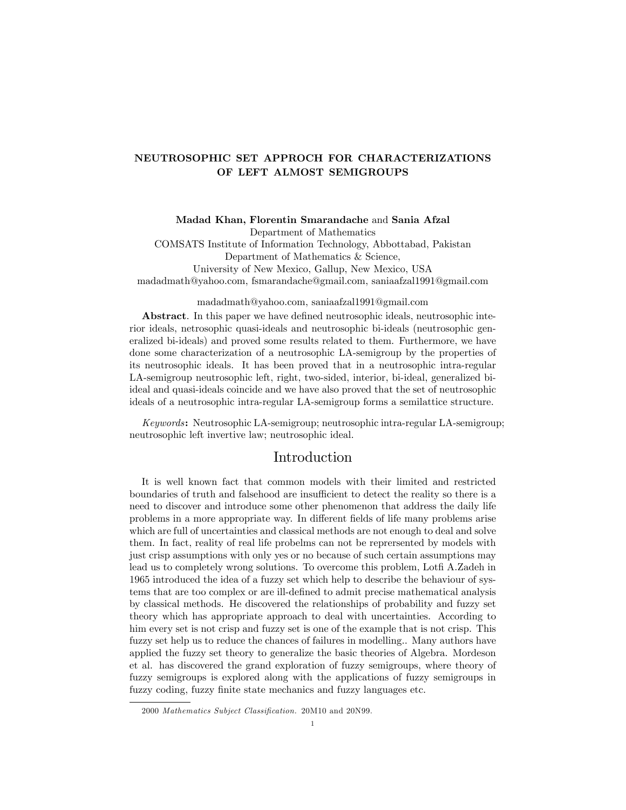# NEUTROSOPHIC SET APPROCH FOR CHARACTERIZATIONS OF LEFT ALMOST SEMIGROUPS

Madad Khan, Florentin Smarandache and Sania Afzal Department of Mathematics

COMSATS Institute of Information Technology, Abbottabad, Pakistan Department of Mathematics & Science, University of New Mexico, Gallup, New Mexico, USA madadmath@yahoo.com, fsmarandache@gmail.com, saniaafzal1991@gmail.com

madadmath@yahoo.com, saniaafzal1991@gmail.com

Abstract. In this paper we have defined neutrosophic ideals, neutrosophic interior ideals, netrosophic quasi-ideals and neutrosophic bi-ideals (neutrosophic generalized bi-ideals) and proved some results related to them. Furthermore, we have done some characterization of a neutrosophic LA-semigroup by the properties of its neutrosophic ideals. It has been proved that in a neutrosophic intra-regular LA-semigroup neutrosophic left, right, two-sided, interior, bi-ideal, generalized biideal and quasi-ideals coincide and we have also proved that the set of neutrosophic ideals of a neutrosophic intra-regular LA-semigroup forms a semilattice structure.

Keywords: Neutrosophic LA-semigroup; neutrosophic intra-regular LA-semigroup; neutrosophic left invertive law; neutrosophic ideal.

# Introduction

It is well known fact that common models with their limited and restricted boundaries of truth and falsehood are insufficient to detect the reality so there is a need to discover and introduce some other phenomenon that address the daily life problems in a more appropriate way. In different fields of life many problems arise which are full of uncertainties and classical methods are not enough to deal and solve them. In fact, reality of real life probelms can not be reprersented by models with just crisp assumptions with only yes or no because of such certain assumptions may lead us to completely wrong solutions. To overcome this problem, Lotfi A.Zadeh in 1965 introduced the idea of a fuzzy set which help to describe the behaviour of systems that are too complex or are ill-deÖned to admit precise mathematical analysis by classical methods. He discovered the relationships of probability and fuzzy set theory which has appropriate approach to deal with uncertainties. According to him every set is not crisp and fuzzy set is one of the example that is not crisp. This fuzzy set help us to reduce the chances of failures in modelling.. Many authors have applied the fuzzy set theory to generalize the basic theories of Algebra. Mordeson et al. has discovered the grand exploration of fuzzy semigroups, where theory of fuzzy semigroups is explored along with the applications of fuzzy semigroups in fuzzy coding, fuzzy finite state mechanics and fuzzy languages etc.

<sup>2000</sup> Mathematics Subject Classification. 20M10 and 20N99.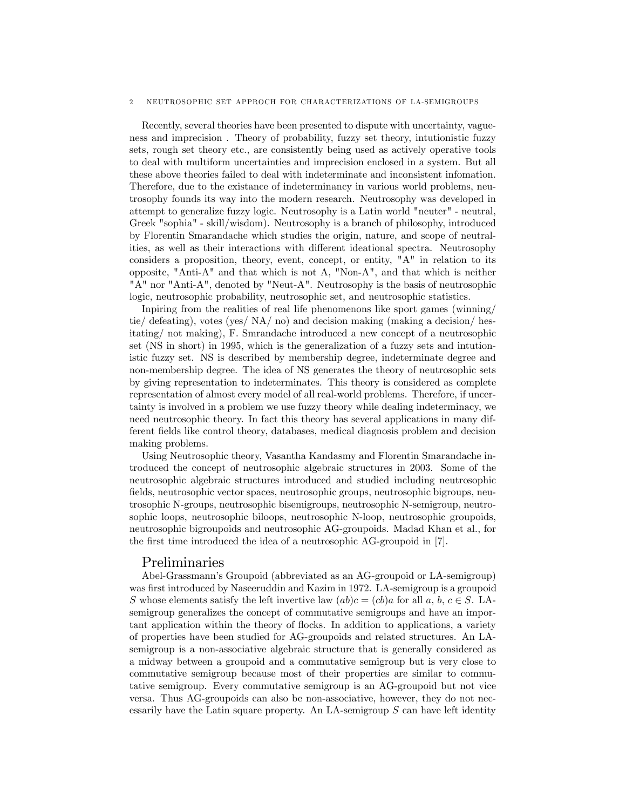#### 2 NEUTROSOPHIC SET APPROCH FOR CHARACTERIZATIONS OF LA-SEMIGROUPS

Recently, several theories have been presented to dispute with uncertainty, vagueness and imprecision . Theory of probability, fuzzy set theory, intutionistic fuzzy sets, rough set theory etc., are consistently being used as actively operative tools to deal with multiform uncertainties and imprecision enclosed in a system. But all these above theories failed to deal with indeterminate and inconsistent infomation. Therefore, due to the existance of indeterminancy in various world problems, neutrosophy founds its way into the modern research. Neutrosophy was developed in attempt to generalize fuzzy logic. Neutrosophy is a Latin world "neuter" - neutral, Greek "sophia" - skill/wisdom). Neutrosophy is a branch of philosophy, introduced by Florentin Smarandache which studies the origin, nature, and scope of neutralities, as well as their interactions with different ideational spectra. Neutrosophy considers a proposition, theory, event, concept, or entity, "A" in relation to its opposite, "Anti-A" and that which is not A, "Non-A", and that which is neither "A" nor "Anti-A", denoted by "Neut-A". Neutrosophy is the basis of neutrosophic logic, neutrosophic probability, neutrosophic set, and neutrosophic statistics.

Inpiring from the realities of real life phenomenons like sport games (winning/ tie/ defeating), votes (yes/ NA/ no) and decision making (making a decision/ hesitating/ not making), F. Smrandache introduced a new concept of a neutrosophic set (NS in short) in 1995, which is the generalization of a fuzzy sets and intutionistic fuzzy set. NS is described by membership degree, indeterminate degree and non-membership degree. The idea of NS generates the theory of neutrosophic sets by giving representation to indeterminates. This theory is considered as complete representation of almost every model of all real-world problems. Therefore, if uncertainty is involved in a problem we use fuzzy theory while dealing indeterminacy, we need neutrosophic theory. In fact this theory has several applications in many different Öelds like control theory, databases, medical diagnosis problem and decision making problems.

Using Neutrosophic theory, Vasantha Kandasmy and Florentin Smarandache introduced the concept of neutrosophic algebraic structures in 2003. Some of the neutrosophic algebraic structures introduced and studied including neutrosophic fields, neutrosophic vector spaces, neutrosophic groups, neutrosophic bigroups, neutrosophic N-groups, neutrosophic bisemigroups, neutrosophic N-semigroup, neutrosophic loops, neutrosophic biloops, neutrosophic N-loop, neutrosophic groupoids, neutrosophic bigroupoids and neutrosophic AG-groupoids. Madad Khan et al., for the first time introduced the idea of a neutrosophic AG-groupoid in [7].

## Preliminaries

Abel-Grassmannís Groupoid (abbreviated as an AG-groupoid or LA-semigroup) was first introduced by Naseeruddin and Kazim in 1972. LA-semigroup is a groupoid S whose elements satisfy the left invertive law  $(ab)c = (cb)a$  for all a, b,  $c \in S$ . LAsemigroup generalizes the concept of commutative semigroups and have an important application within the theory of flocks. In addition to applications, a variety of properties have been studied for AG-groupoids and related structures. An LAsemigroup is a non-associative algebraic structure that is generally considered as a midway between a groupoid and a commutative semigroup but is very close to commutative semigroup because most of their properties are similar to commutative semigroup. Every commutative semigroup is an AG-groupoid but not vice versa. Thus AG-groupoids can also be non-associative, however, they do not necessarily have the Latin square property. An LA-semigroup  $S$  can have left identity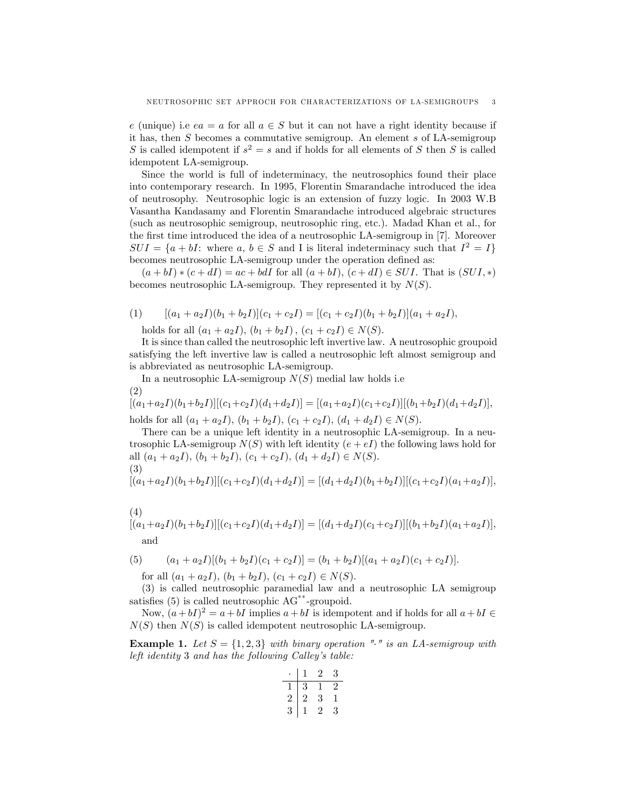e (unique) i.e  $ea = a$  for all  $a \in S$  but it can not have a right identity because if it has, then  $S$  becomes a commutative semigroup. An element  $s$  of LA-semigroup S is called idempotent if  $s^2 = s$  and if holds for all elements of S then S is called idempotent LA-semigroup.

Since the world is full of indeterminacy, the neutrosophics found their place into contemporary research. In 1995, Florentin Smarandache introduced the idea of neutrosophy. Neutrosophic logic is an extension of fuzzy logic. In 2003 W.B Vasantha Kandasamy and Florentin Smarandache introduced algebraic structures (such as neutrosophic semigroup, neutrosophic ring, etc.). Madad Khan et al., for the first time introduced the idea of a neutrosophic LA-semigroup in [7]. Moreover  $SUI = \{a + bI: \text{ where } a, b \in S \text{ and } I \text{ is literal indeterminacy such that } I^2 = I\}$ becomes neutrosophic LA-semigroup under the operation defined as:

 $(a + bI) * (c + dI) = ac + bdI$  for all  $(a + bI)$ ,  $(c + dI) \in SUI$ . That is  $(SUI, *)$ becomes neutrosophic LA-semigroup. They represented it by  $N(S)$ .

(1) 
$$
[(a_1 + a_2I)(b_1 + b_2I)](c_1 + c_2I) = [(c_1 + c_2I)(b_1 + b_2I)](a_1 + a_2I),
$$

holds for all  $(a_1 + a_2I), (b_1 + b_2I), (c_1 + c_2I) \in N(S)$ .

It is since than called the neutrosophic left invertive law. A neutrosophic groupoid satisfying the left invertive law is called a neutrosophic left almost semigroup and is abbreviated as neutrosophic LA-semigroup.

In a neutrosophic LA-semigroup  $N(S)$  medial law holds i.e (2)

 $[(a_1+a_2I)(b_1+b_2I)][(c_1+c_2I)(d_1+d_2I)] = [(a_1+a_2I)(c_1+c_2I)][(b_1+b_2I)(d_1+d_2I)],$ holds for all  $(a_1 + a_2I)$ ,  $(b_1 + b_2I)$ ,  $(c_1 + c_2I)$ ,  $(d_1 + d_2I) \in N(S)$ .

There can be a unique left identity in a neutrosophic LA-semigroup. In a neutrosophic LA-semigroup  $N(S)$  with left identity  $(e + eI)$  the following laws hold for all  $(a_1 + a_2I)$ ,  $(b_1 + b_2I)$ ,  $(c_1 + c_2I)$ ,  $(d_1 + d_2I) \in N(S)$ . (3)

$$
[(a_1+a_2I)(b_1+b_2I)][(c_1+c_2I)(d_1+d_2I)]=[(d_1+d_2I)(b_1+b_2I)][(c_1+c_2I)(a_1+a_2I)],
$$

(4)  
\n
$$
[(a_1+a_2I)(b_1+b_2I)][(c_1+c_2I)(d_1+d_2I)] = [(d_1+d_2I)(c_1+c_2I)][(b_1+b_2I)(a_1+a_2I)],
$$
\nand

(5) 
$$
(a_1 + a_2I)[(b_1 + b_2I)(c_1 + c_2I)] = (b_1 + b_2I)[(a_1 + a_2I)(c_1 + c_2I)].
$$

for all  $(a_1 + a_2I)$ ,  $(b_1 + b_2I)$ ,  $(c_1 + c_2I) \in N(S)$ .

(3) is called neutrosophic paramedial law and a neutrosophic LA semigroup satisfies  $(5)$  is called neutrosophic  $AG^{**}$ -groupoid.

Now,  $(a + bI)^2 = a + bI$  implies  $a + bI$  is idempotent and if holds for all  $a + bI \in$  $N(S)$  then  $N(S)$  is called idempotent neutrosophic LA-semigroup.

**Example 1.** Let  $S = \{1, 2, 3\}$  with binary operation "." is an LA-semigroup with left identity  $3$  and has the following Calley's table:

|   | ı          | 2 | 3      |
|---|------------|---|--------|
|   | $\sqrt{3}$ | 1 | $^{2}$ |
| 2 | 2          | 3 | T      |
| 3 | I.         | 2 | 3      |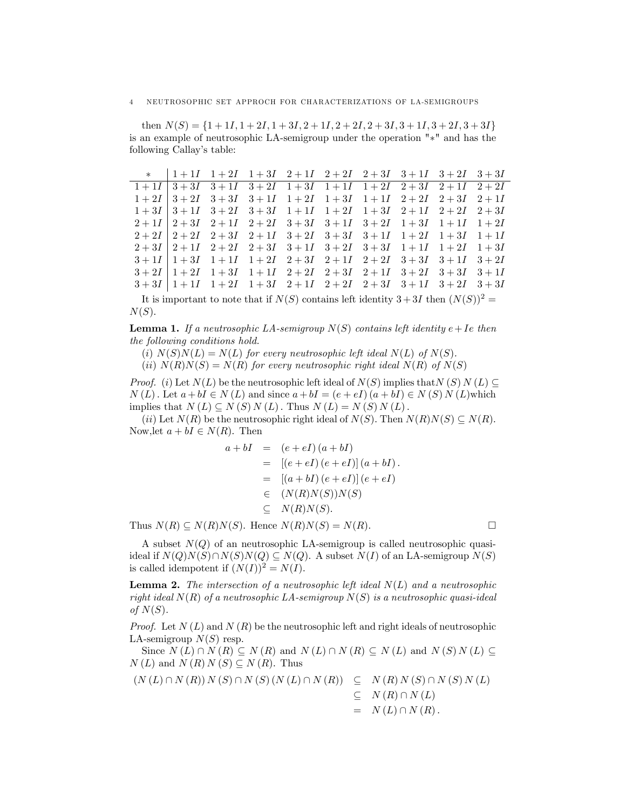then  $N(S) = \{1 + 1I, 1 + 2I, 1 + 3I, 2 + 1I, 2 + 2I, 2 + 3I, 3 + 1I, 3 + 2I, 3 + 3I\}$ is an example of neutrosophic LA-semigroup under the operation  $"*"$  and has the following Callay's table:

|  |  |  | * $1+1I$ 1 + 2 <i>I</i> 1 + 3 <i>I</i> 2 + 1 <i>I</i> 2 + 2 <i>I</i> 2 + 3 <i>I</i> 3 + 1 <i>I</i> 3 + 2 <i>I</i> 3 + 3 <i>I</i> |  |
|--|--|--|----------------------------------------------------------------------------------------------------------------------------------|--|
|  |  |  | $1+1I$ $3+3I$ $3+1I$ $3+2I$ $1+3I$ $1+1I$ $1+2I$ $2+3I$ $2+1I$ $2+2I$                                                            |  |
|  |  |  | $1+2I$ $3+2I$ $3+3I$ $3+1I$ $1+2I$ $1+3I$ $1+1I$ $2+2I$ $2+3I$ $2+1I$                                                            |  |
|  |  |  | $1+3I$ $3+1I$ $3+2I$ $3+3I$ $1+1I$ $1+2I$ $1+3I$ $2+1I$ $2+2I$ $2+3I$                                                            |  |
|  |  |  | $2+11$ $2+31$ $2+11$ $2+21$ $3+31$ $3+11$ $3+21$ $1+31$ $1+11$ $1+21$                                                            |  |
|  |  |  | $2+2I$ $2+2I$ $2+3I$ $2+1I$ $3+2I$ $3+3I$ $3+1I$ $1+2I$ $1+3I$ $1+1I$                                                            |  |
|  |  |  | $2+3I$ $2+1I$ $2+2I$ $2+3I$ $3+1I$ $3+2I$ $3+3I$ $1+1I$ $1+2I$ $1+3I$                                                            |  |
|  |  |  | $3+1I$ $1+3I$ $1+1I$ $1+2I$ $2+3I$ $2+1I$ $2+2I$ $3+3I$ $3+1I$ $3+2I$                                                            |  |
|  |  |  | $3+2I$ $1+2I$ $1+3I$ $1+1I$ $2+2I$ $2+3I$ $2+1I$ $3+2I$ $3+3I$ $3+1I$                                                            |  |
|  |  |  | $3+3I$ $1+1I$ $1+2I$ $1+3I$ $2+1I$ $2+2I$ $2+3I$ $3+1I$ $3+2I$ $3+3I$                                                            |  |

It is important to note that if  $N(S)$  contains left identity  $3+3I$  then  $(N(S))^2$  =  $N(S)$ .

**Lemma 1.** If a neutrosophic LA-semigroup  $N(S)$  contains left identity  $e+Ie$  then the following conditions hold.

(i)  $N(S)N(L) = N(L)$  for every neutrosophic left ideal  $N(L)$  of  $N(S)$ .

(ii)  $N(R)N(S) = N(R)$  for every neutrosophic right ideal  $N(R)$  of  $N(S)$ 

*Proof.* (i) Let  $N(L)$  be the neutrosophic left ideal of  $N(S)$  implies that  $N(S)$   $N(L) \subseteq$  $N(L)$ . Let  $a + bI \in N(L)$  and since  $a + bI = (e + eI) (a + bI) \in N(S) N(L)$  which implies that  $N(L) \subseteq N(S) N(L)$ . Thus  $N(L) = N(S) N(L)$ .

(ii) Let  $N(R)$  be the neutrosophic right ideal of  $N(S)$ . Then  $N(R)N(S) \subseteq N(R)$ . Now, let  $a + bI \in N(R)$ . Then

$$
a + bI = (e + eI)(a + bI)
$$
  
= [(e + eI) (e + eI)] (a + bI).  
= [(a + bI) (e + eI)] (e + eI)  

$$
\in (N(R)N(S))N(S)
$$
  

$$
\subseteq N(R)N(S).
$$

Thus  $N(R) \subseteq N(R)N(S)$ . Hence  $N(R)N(S) = N(R)$ .

A subset  $N(Q)$  of an neutrosophic LA-semigroup is called neutrosophic quasiideal if  $N(Q)N(S)\cap N(S)N(Q) \subseteq N(Q)$ . A subset  $N(I)$  of an LA-semigroup  $N(S)$ is called idempotent if  $(N(I))^2 = N(I)$ .

**Lemma 2.** The intersection of a neutrosophic left ideal  $N(L)$  and a neutrosophic right ideal  $N(R)$  of a neutrosophic LA-semigroup  $N(S)$  is a neutrosophic quasi-ideal of  $N(S)$ .

*Proof.* Let  $N(L)$  and  $N(R)$  be the neutrosophic left and right ideals of neutrosophic LA-semigroup  $N(S)$  resp.

Since  $N(L) \cap N(R) \subseteq N(R)$  and  $N(L) \cap N(R) \subseteq N(L)$  and  $N(S) N(L) \subseteq$  $N(L)$  and  $N(R)N(S) \subseteq N(R)$ . Thus

$$
(N(L) \cap N(R)) N(S) \cap N(S) (N(L) \cap N(R)) \subseteq N(R) N(S) \cap N(S) N(L)
$$
  
\n
$$
\subseteq N(R) \cap N(L)
$$
  
\n
$$
= N(L) \cap N(R).
$$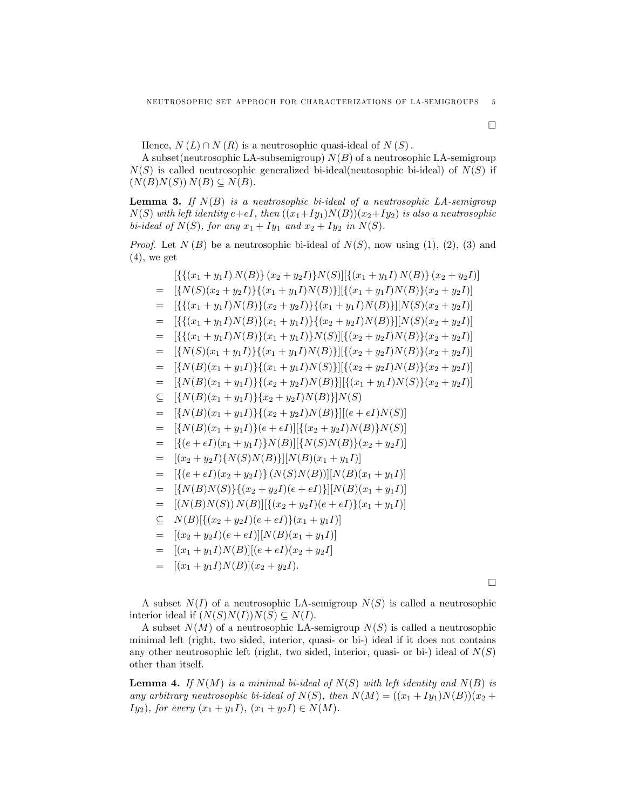Hence,  $N(L) \cap N(R)$  is a neutrosophic quasi-ideal of  $N(S)$ .

A subset(neutrosophic LA-subsemigroup)  $N(B)$  of a neutrosophic LA-semigroup  $N(S)$  is called neutrosophic generalized bi-ideal(neutosophic bi-ideal) of  $N(S)$  if  $(N(B)N(S))N(B) \subseteq N(B).$ 

**Lemma 3.** If  $N(B)$  is a neutrosophic bi-ideal of a neutrosophic LA-semigroup  $N(S)$  with left identity  $e+eI$ , then  $((x_1+Iy_1)N(B))(x_2+Iy_2)$  is also a neutrosophic bi-ideal of  $N(S)$ , for any  $x_1 + Iy_1$  and  $x_2 + Iy_2$  in  $N(S)$ .

*Proof.* Let  $N(B)$  be a neutrosophic bi-ideal of  $N(S)$ , now using (1), (2), (3) and  $(4)$ , we get

$$
\begin{aligned}\n&\left[\left\{\{(x_1 + y_1I) N(B)\}(x_2 + y_2I)\right\} N(S)\right]\left[\{(x_1 + y_1I) N(B)\}(x_2 + y_2I)\right] \\
&= \left[\{N(S)(x_2 + y_2I)\}(x_1 + y_1I) N(B)\}\right]\left[\{(x_1 + y_1I) N(B)\}(x_2 + y_2I)\right] \\
&= \left[\{\{(x_1 + y_1I) N(B)\}(x_2 + y_2I)\}\{(x_1 + y_1I) N(B)\}\right]\left[N(S)(x_2 + y_2I)\right] \\
&= \left[\{\{(x_1 + y_1I) N(B)\}(x_1 + y_1I)\}\{N(S)\}\right]\left[\{(x_2 + y_2I) N(B)\}(x_2 + y_2I)\right] \\
&= \left[\{N(S)(x_1 + y_1I)\}\{(x_1 + y_1I) N(S)\}\right]\left[\{(x_2 + y_2I) N(B)\}(x_2 + y_2I)\right] \\
&= \left[\{N(S)(x_1 + y_1I)\}\{(x_1 + y_1I) N(S)\}\right]\left[\{(x_2 + y_2I) N(B)\}(x_2 + y_2I)\right] \\
&= \left[\{N(B)(x_1 + y_1I)\}\{(x_2 + y_2I) N(B)\}\right]\left[\{(x_1 + y_1I) N(S)\}(x_2 + y_2I)\right] \\
&\subseteq \left[\{N(B)(x_1 + y_1I)\}\{x_2 + y_2I) N(B)\}\right]\left[(x_1 + y_1I) N(S)\}(x_2 + y_2I)\right] \\
&= \left[\{N(B)(x_1 + y_1I)\}\{x_2 + y_2I) N(B)\}\right]\left[(x_1 + y_1I) N(S)\right] \\
&= \left[\{N(B)(x_1 + y_1I)\}\{x_2 + y_2I) N(B)\}\left[N(S)\right] \\
&= \left[\{(x \in \{eI\}(x_1 + y_1I)\} N(B)\}\right]\left[N(S) N(B)\}\right]\left[(x_2 + y_2I) N(B)\right]\right] \\
&= \left[\{(e + eI)(x_1 + y_1I)\} N(B)\left[\{N(S) N(B)\}\right]\left[(x_2 + y_2I)\right] \\
&= \left[\{N(B) N(S)\}\left\{(x_2 + y_2I)(e + eI)\}\right][N(B)(x_1 + y_1I)\
$$

A subset  $N(I)$  of a neutrosophic LA-semigroup  $N(S)$  is called a neutrosophic interior ideal if  $(N(S)N(I))N(S) \subseteq N(I)$ .

A subset  $N(M)$  of a neutrosophic LA-semigroup  $N(S)$  is called a neutrosophic minimal left (right, two sided, interior, quasi- or bi-) ideal if it does not contains any other neutrosophic left (right, two sided, interior, quasi- or bi-) ideal of  $N(S)$ other than itself.

**Lemma 4.** If  $N(M)$  is a minimal bi-ideal of  $N(S)$  with left identity and  $N(B)$  is any arbitrary neutrosophic bi-ideal of  $N(S)$ , then  $N(M) = ((x_1 + Iy_1)N(B))(x_2 + Iy_2)$ Iy<sub>2</sub>), for every  $(x_1 + y_1 I)$ ,  $(x_1 + y_2 I) \in N(M)$ .

 $\Box$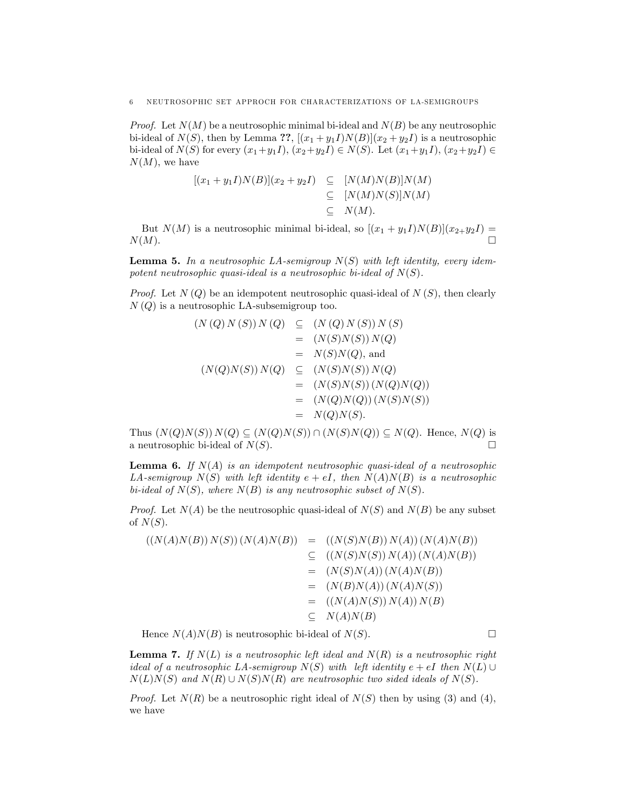*Proof.* Let  $N(M)$  be a neutrosophic minimal bi-ideal and  $N(B)$  be any neutrosophic bi-ideal of  $N(S)$ , then by Lemma ??,  $[(x_1 + y_1 I)N(B)](x_2 + y_2 I)$  is a neutrosophic bi-ideal of  $N(S)$  for every  $(x_1+y_1I), (x_2+y_2I) \in N(S)$ . Let  $(x_1+y_1I), (x_2+y_2I) \in$  $N(M)$ , we have

$$
[(x_1 + y_1I)N(B)](x_2 + y_2I) \subseteq [N(M)N(B)]N(M)
$$
  

$$
\subseteq [N(M)N(S)]N(M)
$$
  

$$
\subseteq N(M).
$$

But  $N(M)$  is a neutrosophic minimal bi-ideal, so  $[(x_1 + y_1I)N(B)](x_2+y_2I)$  $N(M)$ .

**Lemma 5.** In a neutrosophic LA-semigroup  $N(S)$  with left identity, every idempotent neutrosophic quasi-ideal is a neutrosophic bi-ideal of  $N(S)$ .

*Proof.* Let  $N(Q)$  be an idempotent neutrosophic quasi-ideal of  $N(S)$ , then clearly  $N(Q)$  is a neutrosophic LA-subsemigroup too.

$$
(N(Q) N(S)) N(Q) \subseteq (N(Q) N(S)) N(S)
$$
  
\n
$$
= (N(S)N(S)) N(Q)
$$
  
\n
$$
= N(S)N(Q), \text{ and}
$$
  
\n
$$
(N(Q)N(S)) N(Q) \subseteq (N(S)N(S)) N(Q)
$$
  
\n
$$
= (N(S)N(S)) (N(Q)N(Q))
$$
  
\n
$$
= (N(Q)N(Q)) (N(S)N(S))
$$
  
\n
$$
= N(Q)N(S).
$$

Thus  $(N(Q)N(S))N(Q) \subseteq (N(Q)N(S)) \cap (N(S)N(Q)) \subseteq N(Q)$ . Hence,  $N(Q)$  is a neutrosophic bi-ideal of  $N(S)$ .

**Lemma 6.** If  $N(A)$  is an idempotent neutrosophic quasi-ideal of a neutrosophic LA-semigroup  $N(S)$  with left identity  $e + eI$ , then  $N(A)N(B)$  is a neutrosophic bi-ideal of  $N(S)$ , where  $N(B)$  is any neutrosophic subset of  $N(S)$ .

*Proof.* Let  $N(A)$  be the neutrosophic quasi-ideal of  $N(S)$  and  $N(B)$  be any subset of  $N(S)$ .

$$
((N(A)N(B)) N(S))(N(A)N(B)) = ((N(S)N(B)) N(A))(N(A)N(B))
$$
  
\n
$$
\subseteq ((N(S)N(S)) N(A))(N(A)N(B))
$$
  
\n
$$
= (N(S)N(A))(N(A)N(B))
$$
  
\n
$$
= (N(B)N(A))(N(A)N(S))
$$
  
\n
$$
= ((N(A)N(S)) N(A)) N(B)
$$
  
\n
$$
\subseteq N(A)N(B)
$$

Hence  $N(A)N(B)$  is neutrosophic bi-ideal of  $N(S)$ .

**Lemma 7.** If  $N(L)$  is a neutrosophic left ideal and  $N(R)$  is a neutrosophic right ideal of a neutrosophic LA-semigroup  $N(S)$  with left identity  $e + eI$  then  $N(L) \cup$  $N(L)N(S)$  and  $N(R) \cup N(S)N(R)$  are neutrosophic two sided ideals of  $N(S)$ .

*Proof.* Let  $N(R)$  be a neutrosophic right ideal of  $N(S)$  then by using (3) and (4), we have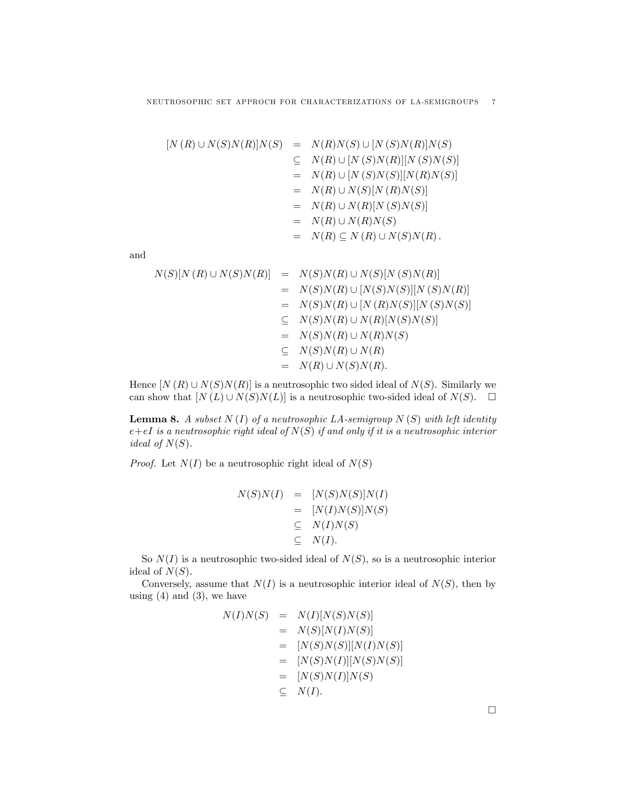$$
[N (R) \cup N(S)N(R)]N(S) = N(R)N(S) \cup [N (S)N(R)]N(S)
$$
  
\n
$$
\subseteq N(R) \cup [N (S)N(R)][N (S)N(S)]
$$
  
\n
$$
= N(R) \cup [N (S)N(S)][N(R)N(S)]
$$
  
\n
$$
= N(R) \cup N(S)[N (R)N(S)]
$$
  
\n
$$
= N(R) \cup N(R)[N (S)N(S)]
$$
  
\n
$$
= N(R) \cup N(R)N(S)
$$
  
\n
$$
= N(R) \subseteq N (R) \cup N(S)N(R).
$$

and

$$
N(S)[N(R) \cup N(S)N(R)] = N(S)N(R) \cup N(S)[N(S)N(R)]
$$
  
\n
$$
= N(S)N(R) \cup [N(S)N(S)][N(S)N(R)]
$$
  
\n
$$
= N(S)N(R) \cup [N(R)N(S)][N(S)N(S)]
$$
  
\n
$$
\subseteq N(S)N(R) \cup N(R)[N(S)N(S)]
$$
  
\n
$$
= N(S)N(R) \cup N(R)N(S)
$$
  
\n
$$
\subseteq N(S)N(R) \cup N(R)
$$
  
\n
$$
= N(R) \cup N(S)N(R).
$$

Hence  $[N(R) \cup N(S)N(R)]$  is a neutrosophic two sided ideal of  $N(S)$ . Similarly we can show that  $[N(L) \cup N(S)N(L)]$  is a neutrosophic two-sided ideal of  $N(S)$ .  $\Box$ 

**Lemma 8.** A subset  $N(I)$  of a neutrosophic LA-semigroup  $N(S)$  with left identity  $e+eI$  is a neutrosophic right ideal of  $N(S)$  if and only if it is a neutrosophic interior ideal of  $N(S)$ .

*Proof.* Let  $N(I)$  be a neutrosophic right ideal of  $N(S)$ 

$$
N(S)N(I) = [N(S)N(S)]N(I)
$$
  
= [N(I)N(S)]N(S)  

$$
\subseteq N(I)N(S)
$$
  

$$
\subseteq N(I).
$$

So  $N(I)$  is a neutrosophic two-sided ideal of  $N(S)$ , so is a neutrosophic interior ideal of  $N(S)$ .

Conversely, assume that  $N(I)$  is a neutrosophic interior ideal of  $N(S)$ , then by using  $(4)$  and  $(3)$ , we have

$$
N(I)N(S) = N(I)[N(S)N(S)]
$$
  
\n
$$
= N(S)[N(I)N(S)]
$$
  
\n
$$
= [N(S)N(S)][N(I)N(S)]
$$
  
\n
$$
= [N(S)N(I)][N(S)N(S)]
$$
  
\n
$$
= [N(S)N(I)]N(S)
$$
  
\n
$$
\subseteq N(I).
$$

 $\Box$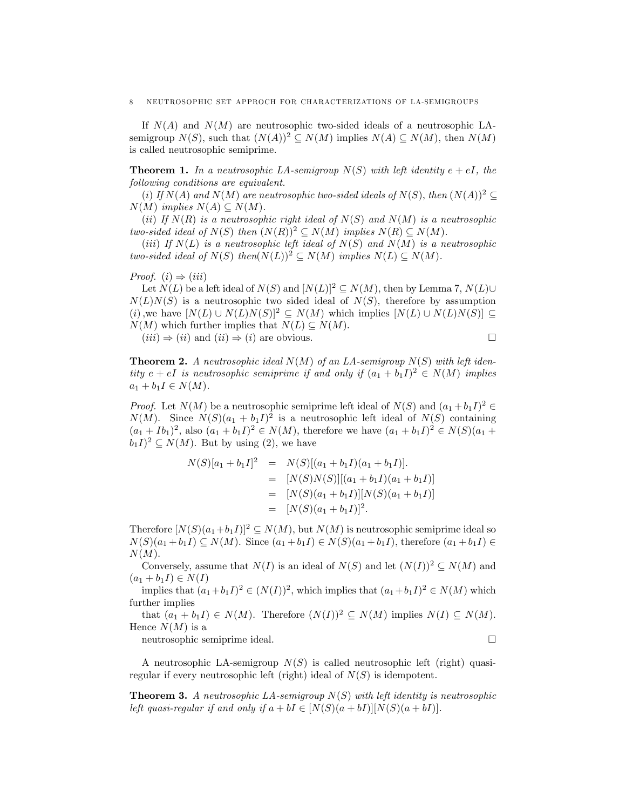If  $N(A)$  and  $N(M)$  are neutrosophic two-sided ideals of a neutrosophic LAsemigroup  $N(S)$ , such that  $(N(A))^2 \subset N(M)$  implies  $N(A) \subset N(M)$ , then  $N(M)$ is called neutrosophic semiprime:

**Theorem 1.** In a neutrosophic LA-semigroup  $N(S)$  with left identity  $e + eI$ , the following conditions are equivalent.

(i) If  $N(A)$  and  $N(M)$  are neutrosophic two-sided ideals of  $N(S)$ , then  $(N(A))^2 \subset$  $N(M)$  implies  $N(A) \subseteq N(M)$ .

(ii) If  $N(R)$  is a neutrosophic right ideal of  $N(S)$  and  $N(M)$  is a neutrosophic two-sided ideal of  $N(S)$  then  $(N(R))^2 \subseteq N(M)$  implies  $N(R) \subseteq N(M)$ .

(iii) If  $N(L)$  is a neutrosophic left ideal of  $N(S)$  and  $N(M)$  is a neutrosophic two-sided ideal of  $N(S)$  then $(N(L))^2 \subseteq N(M)$  implies  $N(L) \subseteq N(M)$ .

Proof.  $(i) \Rightarrow (iii)$ 

Let  $N(L)$  be a left ideal of  $N(S)$  and  $[N(L)]^2 \subseteq N(M)$ , then by Lemma 7,  $N(L)\cup$  $N(L)N(S)$  is a neutrosophic two sided ideal of  $N(S)$ , therefore by assumption (i), we have  $[N(L) \cup N(L)N(S)]^2 \subseteq N(M)$  which implies  $[N(L) \cup N(L)N(S)] \subseteq$  $N(M)$  which further implies that  $N(L) \subseteq N(M)$ .

 $(iii) \Rightarrow (ii)$  and  $(ii) \Rightarrow (i)$  are obvious.

$$
\qquad \qquad \Box
$$

**Theorem 2.** A neutrosophic ideal  $N(M)$  of an LA-semigroup  $N(S)$  with left identity  $e + eI$  is neutrosophic semiprime if and only if  $(a_1 + b_1I)^2 \in N(M)$  implies  $a_1 + b_1 I \in N(M)$ .

*Proof.* Let  $N(M)$  be a neutrosophic semiprime left ideal of  $N(S)$  and  $(a_1 + b_1 I)^2 \in$  $N(M)$ . Since  $N(S)(a_1 + b_1 I)^2$  is a neutrosophic left ideal of  $N(S)$  containing  $(a_1 + Ib_1)^2$ , also  $(a_1 + b_1I)^2 \in N(M)$ , therefore we have  $(a_1 + b_1I)^2 \in N(S)(a_1 + b_1I)^2$  $(b_1I)^2 \subseteq N(M)$ . But by using (2), we have

$$
N(S)[a_1 + b_1 I]^2 = N(S)[(a_1 + b_1 I)(a_1 + b_1 I)].
$$
  
= 
$$
[N(S)N(S)][(a_1 + b_1 I)(a_1 + b_1 I)]
$$
  
= 
$$
[N(S)(a_1 + b_1 I)][N(S)(a_1 + b_1 I)]
$$
  
= 
$$
[N(S)(a_1 + b_1 I)]^2.
$$

Therefore  $[N(S)(a_1+b_1I)]^2 \subseteq N(M)$ , but  $N(M)$  is neutrosophic semiprime ideal so  $N(S)(a_1 + b_1 I) \subseteq N(M)$ . Since  $(a_1 + b_1 I) \in N(S)(a_1 + b_1 I)$ , therefore  $(a_1 + b_1 I) \in$  $N(M)$ .

Conversely, assume that  $N(I)$  is an ideal of  $N(S)$  and let  $(N(I))^2 \subseteq N(M)$  and  $(a_1 + b_1 I) \in N(I)$ 

implies that  $(a_1+b_1I)^2 \in (N(I))^2$ , which implies that  $(a_1+b_1I)^2 \in N(M)$  which further implies

that  $(a_1 + b_1 I) \in N(M)$ . Therefore  $(N(I))^2 \subset N(M)$  implies  $N(I) \subset N(M)$ . Hence  $N(M)$  is a

neutrosophic semiprime ideal.

A neutrosophic LA-semigroup  $N(S)$  is called neutrosophic left (right) quasiregular if every neutrosophic left (right) ideal of  $N(S)$  is idempotent.

**Theorem 3.** A neutrosophic LA-semigroup  $N(S)$  with left identity is neutrosophic left quasi-regular if and only if  $a + bI \in [N(S)(a + bI)][N(S)(a + bI)].$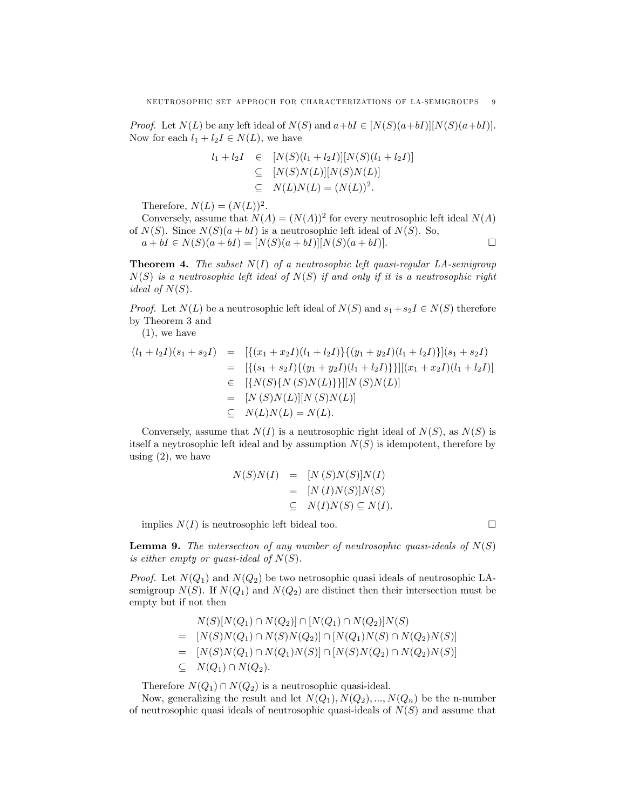*Proof.* Let  $N(L)$  be any left ideal of  $N(S)$  and  $a+bI \in [N(S)(a+bI)][N(S)(a+bI)].$ Now for each  $l_1 + l_2 I \in N(L)$ , we have

$$
l_1 + l_2I \in [N(S)(l_1 + l_2I)][N(S)(l_1 + l_2I)]
$$
  
\n
$$
\subseteq [N(S)N(L)][N(S)N(L)]
$$
  
\n
$$
\subseteq N(L)N(L) = (N(L))^2.
$$

Therefore,  $N(L) = (N(L))^2$ .

Conversely, assume that  $N(A) = (N(A))^2$  for every neutrosophic left ideal  $N(A)$ of  $N(S)$ . Since  $N(S)(a + bI)$  is a neutrosophic left ideal of  $N(S)$ . So,

 $a + bI \in N(S)(a + bI) = [N(S)(a + bI)][N(S)(a + bI)].$ 

**Theorem 4.** The subset  $N(I)$  of a neutrosophic left quasi-regular LA-semigroup  $N(S)$  is a neutrosophic left ideal of  $N(S)$  if and only if it is a neutrosophic right *ideal of*  $N(S)$ .

*Proof.* Let  $N(L)$  be a neutrosophic left ideal of  $N(S)$  and  $s_1 + s_2 I \in N(S)$  therefore by Theorem 3 and

(1), we have

$$
(l_1 + l_2I)(s_1 + s_2I) = [ {(x_1 + x_2I)(l_1 + l_2I)}{(y_1 + y_2I)(l_1 + l_2I)}](s_1 + s_2I)
$$
  
\n
$$
= [ {(s_1 + s_2I)}{(y_1 + y_2I)(l_1 + l_2I)}] [(x_1 + x_2I)(l_1 + l_2I)]
$$
  
\n
$$
\in [ {N(S){N(S)N(L)}}] [ N(S)N(L)]
$$
  
\n
$$
= [ N(S)N(L)][ N(S)N(L)]
$$
  
\n
$$
\subseteq N(L)N(L) = N(L).
$$

Conversely, assume that  $N(I)$  is a neutrosophic right ideal of  $N(S)$ , as  $N(S)$  is itself a neytrosophic left ideal and by assumption  $N(S)$  is idempotent, therefore by using  $(2)$ , we have

$$
N(S)N(I) = [N(S)N(S)]N(I)
$$
  
= [N(I)N(S)]N(S)  

$$
\subseteq N(I)N(S) \subseteq N(I).
$$

implies  $N(I)$  is neutrosophic left bideal too.

**Lemma 9.** The intersection of any number of neutrosophic quasi-ideals of  $N(S)$ is either empty or quasi-ideal of  $N(S)$ .

*Proof.* Let  $N(Q_1)$  and  $N(Q_2)$  be two netrosophic quasi ideals of neutrosophic LAsemigroup  $N(S)$ . If  $N(Q_1)$  and  $N(Q_2)$  are distinct then their intersection must be empty but if not then

$$
N(S)[N(Q_1) \cap N(Q_2)] \cap [N(Q_1) \cap N(Q_2)]N(S)
$$
  
= 
$$
[N(S)N(Q_1) \cap N(S)N(Q_2)] \cap [N(Q_1)N(S) \cap N(Q_2)N(S)]
$$
  
= 
$$
[N(S)N(Q_1) \cap N(Q_1)N(S)] \cap [N(S)N(Q_2) \cap N(Q_2)N(S)]
$$
  

$$
\subseteq N(Q_1) \cap N(Q_2).
$$

Therefore  $N(Q_1) \cap N(Q_2)$  is a neutrosophic quasi-ideal.

Now, generalizing the result and let  $N(Q_1), N(Q_2), ..., N(Q_n)$  be the n-number of neutrosophic quasi ideals of neutrosophic quasi-ideals of  $N(S)$  and assume that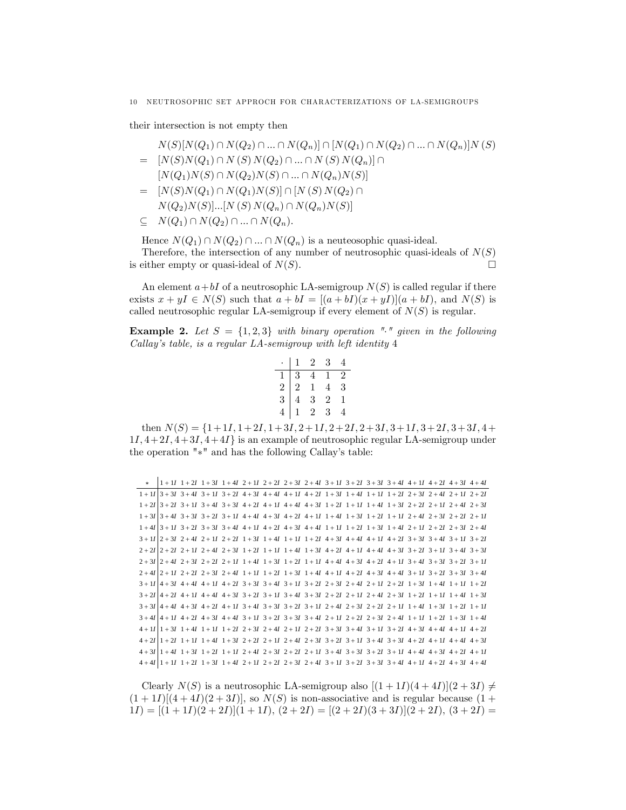their intersection is not empty then

$$
N(S)[N(Q_1) \cap N(Q_2) \cap ... \cap N(Q_n)] \cap [N(Q_1) \cap N(Q_2) \cap ... \cap N(Q_n)]N(S)
$$
  
= 
$$
[N(S)N(Q_1) \cap N(S) N(Q_2) \cap ... \cap N(S) N(Q_n)] \cap
$$
  

$$
[N(Q_1)N(S) \cap N(Q_2)N(S) \cap ... \cap N(Q_n)N(S)]
$$
  
= 
$$
[N(S)N(Q_1) \cap N(Q_1)N(S)] \cap [N(S) N(Q_2) \cap
$$
  

$$
N(Q_2)N(S)]...[N(S) N(Q_n) \cap N(Q_n)N(S)]
$$
  

$$
\subseteq N(Q_1) \cap N(Q_2) \cap ... \cap N(Q_n).
$$

Hence  $N(Q_1) \cap N(Q_2) \cap ... \cap N(Q_n)$  is a neuteosophic quasi-ideal. Therefore, the intersection of any number of neutrosophic quasi-ideals of  $N(S)$ is either empty or quasi-ideal of  $N(S)$ .

An element  $a+bI$  of a neutrosophic LA-semigroup  $N(S)$  is called regular if there exists  $x + yI \in N(S)$  such that  $a + bI = [(a + bI)(x + yI)](a + bI)$ , and  $N(S)$  is called neutrosophic regular LA-semigroup if every element of  $N(S)$  is regular.

**Example 2.** Let  $S = \{1,2,3\}$  with binary operation "." given in the following Callay's table, is a regular LA-semigroup with left identity 4

|               |                | $\overline{2}$ | 3              |                |
|---------------|----------------|----------------|----------------|----------------|
|               | 3              |                |                | $\overline{2}$ |
| $\frac{1}{2}$ | $\overline{2}$ | $\frac{1}{3}$  | 4              | 3              |
|               |                |                | $\overline{2}$ |                |
|               |                | 2              | 3              |                |

then  $N(S) = \{1+1I, 1+2I, 1+3I, 2+1I, 2+2I, 2+3I, 3+1I, 3+2I, 3+3I, 4+$  $1I, 4+2I, 4+3I, 4+4I$  is an example of neutrosophic regular LA-semigroup under the operation  $"*"$  and has the following Callay's table:

| $\ast$ |  |  |  |  |  |  | $1+11$ $1+21$ $1+31$ $1+41$ $2+11$ $2+21$ $2+31$ $2+41$ $3+11$ $3+21$ $3+31$ $3+41$ $4+11$ $4+21$ $4+31$ $4+41$                                                                                |  |
|--------|--|--|--|--|--|--|------------------------------------------------------------------------------------------------------------------------------------------------------------------------------------------------|--|
|        |  |  |  |  |  |  | $1+11/3+31/3+41/3+11/3+21/4+31/4+41/4+11/4+21/1+31/1+41/1+11/1+21/2+31/2+41/2+11/2+21$                                                                                                         |  |
|        |  |  |  |  |  |  | $1+21$ 3 + 21 3 + 11 3 + 41 3 + 31 4 + 21 4 + 11 4 + 41 4 + 31 1 + 21 1 + 11 1 + 41 1 + 31 2 + 21 2 + 11 2 + 41 2 + 31                                                                         |  |
|        |  |  |  |  |  |  | $1+31\overline{)3+41}$ $3+31\overline{)3+21}$ $3+11\overline{)4+41}$ $4+31\overline{)4+21}$ $4+11\overline{)1+41}$ $1+31\overline{)1+21}$ $1+11\overline{)2+41}$ $2+31\overline{)2+21}$ $2+11$ |  |
|        |  |  |  |  |  |  | $1+4I$ 3 + 11 3 + 21 3 + 31 3 + 41 4 + 11 4 + 21 4 + 31 4 + 41 1 + 11 1 + 21 1 + 31 1 + 41 2 + 11 2 + 21 2 + 31 2 + 41                                                                         |  |
|        |  |  |  |  |  |  | $3+11/2+31$ $2+41$ $2+11$ $2+21$ $1+31$ $1+41$ $1+11$ $1+21$ $4+31$ $4+41$ $4+11$ $4+21$ $3+31$ $3+41$ $3+11$ $3+21$                                                                           |  |
|        |  |  |  |  |  |  | $2+21 2+21 2+11 2+41 2+31 1+21 1+11 1+41 1+31 4+21 4+11 4+41 4+31 3+21 3+11 3+41 3+31$                                                                                                         |  |
|        |  |  |  |  |  |  | $2+3I$ $2+4I$ $2+3I$ $2+2I$ $2+1I$ $1+4I$ $1+3I$ $1+2I$ $1+1I$ $4+4I$ $4+3I$ $4+2I$ $4+1I$ $3+4I$ $3+3I$ $3+2I$ $3+1I$                                                                         |  |
|        |  |  |  |  |  |  | $2+4I$ $2+1I$ $2+2I$ $2+3I$ $2+4I$ $1+1I$ $1+2I$ $1+3I$ $1+4I$ $4+1I$ $4+2I$ $4+3I$ $4+4I$ $3+1I$ $3+2I$ $3+3I$ $3+4I$                                                                         |  |
|        |  |  |  |  |  |  | $3+11 4+31 4+41 4+11 4+21 3+31 3+41 3+11 3+21 2+31 2+41 2+11 2+21 1+31 1+41 1+21$                                                                                                              |  |
|        |  |  |  |  |  |  | $3+21 4+21 4+11 4+41 4+31 3+21 3+11 3+41 3+31 2+21 2+11 2+41 2+31 1+21 1+11 1+31$                                                                                                              |  |
|        |  |  |  |  |  |  | $3+31 4+41 4+31 4+21 4+11 3+41 3+31 3+21 3+11 2+41 2+31 2+21 2+11 1+41 1+31 1+21 1+11$                                                                                                         |  |
|        |  |  |  |  |  |  | $3+4l 4+11+21+31+4+41+3+11+3+21+3+31+3+4l+2+11+2+2l+3l+2+3l+1+11+2l+3l+4l$                                                                                                                     |  |
|        |  |  |  |  |  |  | $4+111+31$ $1+41$ $1+11$ $1+21$ $2+31$ $2+41$ $2+11$ $2+21$ $3+31$ $3+41$ $3+11$ $3+21$ $4+31$ $4+41$ $4+11$ $4+21$                                                                            |  |
|        |  |  |  |  |  |  | $4+21$ 1 + 21 1 + 11 1 + 41 1 + 31 2 + 21 2 + 11 2 + 41 2 + 31 3 + 21 3 + 11 3 + 41 3 + 31 4 + 21 4 + 11 4 + 41 4 + 31                                                                         |  |
|        |  |  |  |  |  |  | $4+31 1+41 1+31 1+21 1+11 2+41 2+31 2+21 2+11 3+41 3+31 3+21 3+11 4+41 4+31 4+21 4+11$                                                                                                         |  |
|        |  |  |  |  |  |  | $4+4I 1+1I 1+2I 1+3I 1+4I 2+1I 2+2I 2+3I 2+4I 3+1I 3+2I 3+3I 3+4I 4+1I 4+2I 4+3I 4+4I$                                                                                                         |  |

Clearly  $N(S)$  is a neutrosophic LA-semigroup also  $[(1+1I)(4+4I)](2+3I) \neq$  $(1+1I)[(4+4I)(2+3I)]$ , so  $N(S)$  is non-associative and is regular because  $(1+1I)(4+4I)(2+3I)]$  $1I) = [(1 + 1I)(2 + 2I)](1 + 1I), (2 + 2I) = [(2 + 2I)(3 + 3I)](2 + 2I), (3 + 2I) =$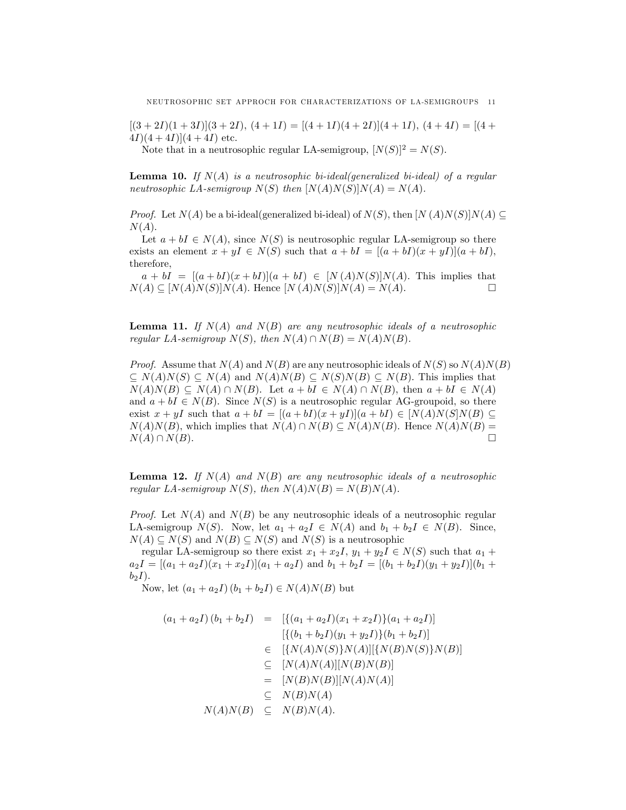$[(3+2I)(1+3I)](3+2I), (4+1I) = [(4+1I)(4+2I)](4+1I), (4+4I) = [(4+1I)(4+2I)](4+1I)$  $4I(4+4I)(4+4I)$  etc.

Note that in a neutrosophic regular LA-semigroup,  $[N(S)]^2 = N(S)$ .

**Lemma 10.** If  $N(A)$  is a neutrosophic bi-ideal(generalized bi-ideal) of a regular neutrosophic LA-semigroup  $N(S)$  then  $[N(A)N(S)]N(A) = N(A)$ .

*Proof.* Let  $N(A)$  be a bi-ideal(generalized bi-ideal) of  $N(S)$ , then  $[N(A)N(S)]N(A) \subseteq$  $N(A)$ .

Let  $a + bI \in N(A)$ , since  $N(S)$  is neutrosophic regular LA-semigroup so there exists an element  $x + yI \in N(S)$  such that  $a + bI = [(a + bI)(x + yI)](a + bI),$ therefore,

 $a + bI = [(a + bI)(x + bI)](a + bI) \in [N(A)N(S)]N(A)$ . This implies that  $(A) \subset [N(A)N(S)]N(A)$ . Hence  $[N(A)N(S)]N(A) = N(A)$ .  $N(A) \subseteq [N(A)N(S)]N(A)$ . Hence  $[N(A)N(S)]N(A) = N(A)$ .

**Lemma 11.** If  $N(A)$  and  $N(B)$  are any neutrosophic ideals of a neutrosophic regular LA-semigroup  $N(S)$ , then  $N(A) \cap N(B) = N(A)N(B)$ .

*Proof.* Assume that  $N(A)$  and  $N(B)$  are any neutrosophic ideals of  $N(S)$  so  $N(A)N(B)$  $\subseteq N(A)N(S) \subseteq N(A)$  and  $N(A)N(B) \subseteq N(S)N(B) \subseteq N(B)$ . This implies that  $N(A)N(B) \subseteq N(A) \cap N(B)$ . Let  $a + bI \in N(A) \cap N(B)$ , then  $a + bI \in N(A)$ and  $a + bI \in N(B)$ . Since  $N(S)$  is a neutrosophic regular AG-groupoid, so there exist  $x + yI$  such that  $a + bI = [(a + bI)(x + yI)](a + bI) \in [N(A)N(S]N(B) \subseteq$  $N(A)N(B)$ , which implies that  $N(A) \cap N(B) \subseteq N(A)N(B)$ . Hence  $N(A)N(B) = N(A) \cap N(B)$ .  $N(A) \cap N(B).$ 

**Lemma 12.** If  $N(A)$  and  $N(B)$  are any neutrosophic ideals of a neutrosophic regular LA-semigroup  $N(S)$ , then  $N(A)N(B) = N(B)N(A)$ .

*Proof.* Let  $N(A)$  and  $N(B)$  be any neutrosophic ideals of a neutrosophic regular LA-semigroup  $N(S)$ . Now, let  $a_1 + a_2I \in N(A)$  and  $b_1 + b_2I \in N(B)$ . Since,  $N(A) \subseteq N(S)$  and  $N(B) \subseteq N(S)$  and  $N(S)$  is a neutrosophic

regular LA-semigroup so there exist  $x_1 + x_2I$ ,  $y_1 + y_2I \in N(S)$  such that  $a_1 +$  $a_2I = [(a_1 + a_2I)(x_1 + x_2I)](a_1 + a_2I)$  and  $b_1 + b_2I = [(b_1 + b_2I)(y_1 + y_2I)](b_1 + b_2I)$  $b_2I$ ).

Now, let  $(a_1 + a_2I)(b_1 + b_2I) \in N(A)N(B)$  but

$$
(a_1 + a_2I)(b_1 + b_2I) = [\{(a_1 + a_2I)(x_1 + x_2I)\}(a_1 + a_2I)]
$$
  
\n
$$
[\{(b_1 + b_2I)(y_1 + y_2I)\}(b_1 + b_2I)]
$$
  
\n
$$
\in [\{N(A)N(S)\}N(A)][\{N(B)N(S)\}N(B)]
$$
  
\n
$$
\subseteq [N(A)N(A)][N(B)N(B)]
$$
  
\n
$$
= [N(B)N(B)][N(A)N(A)]
$$
  
\n
$$
\subseteq N(B)N(A)
$$
  
\n
$$
N(A)N(B) \subseteq N(B)N(A).
$$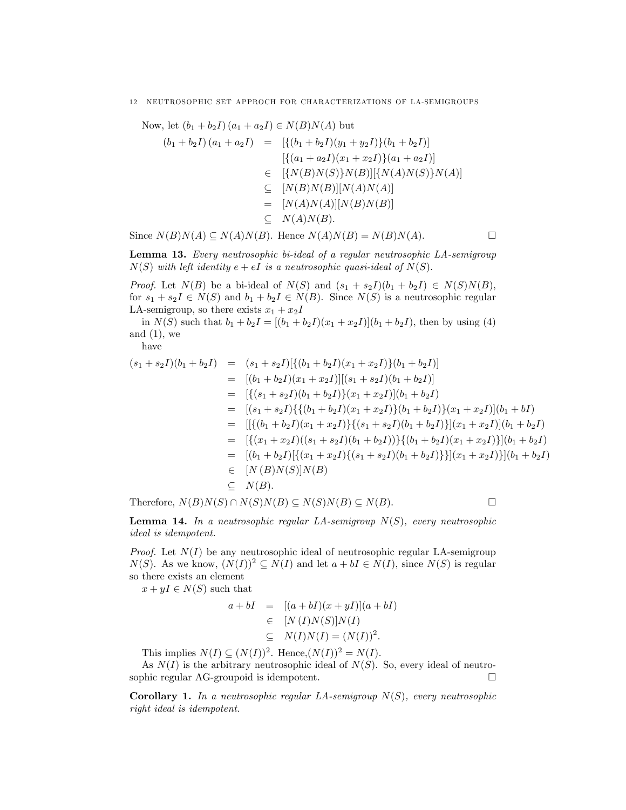#### 12 NEUTROSOPHIC SET APPROCH FOR CHARACTERIZATIONS OF LA-SEMIGROUPS

Now, let  $(b_1 + b_2 I)(a_1 + a_2 I) \in N(B)N(A)$  but

$$
(b_1 + b_2I)(a_1 + a_2I) = [\{(b_1 + b_2I)(y_1 + y_2I)\}(b_1 + b_2I)]
$$
  
\n
$$
[\{(a_1 + a_2I)(x_1 + x_2I)\}(a_1 + a_2I)]
$$
  
\n
$$
\in [\{N(B)N(S)\}N(B)][\{N(A)N(S)\}N(A)]
$$
  
\n
$$
\subseteq [N(B)N(B)][N(A)N(A)]
$$
  
\n
$$
= [N(A)N(A)][N(B)N(B)]
$$
  
\n
$$
\subseteq N(A)N(B).
$$

Since  $N(B)N(A) \subseteq N(A)N(B)$ . Hence  $N(A)N(B) = N(B)N(A)$ .

Lemma 13. Every neutrosophic bi-ideal of a regular neutrosophic LA-semigroup  $N(S)$  with left identity  $e + eI$  is a neutrosophic quasi-ideal of  $N(S)$ .

*Proof.* Let  $N(B)$  be a bi-ideal of  $N(S)$  and  $(s_1 + s_2I)(b_1 + b_2I) \in N(S)N(B)$ , for  $s_1 + s_2I \in N(S)$  and  $b_1 + b_2I \in N(B)$ . Since  $N(S)$  is a neutrosophic regular LA-semigroup, so there exists  $x_1 + x_2I$ 

in  $N(S)$  such that  $b_1 + b_2I = [(b_1 + b_2I)(x_1 + x_2I)](b_1 + b_2I)$ , then by using (4) and  $(1)$ , we

have

$$
(s_1 + s_2I)(b_1 + b_2I) = (s_1 + s_2I)[\{(b_1 + b_2I)(x_1 + x_2I)\}(b_1 + b_2I)]
$$
  
\n
$$
= [(b_1 + b_2I)(x_1 + x_2I)][(s_1 + s_2I)(b_1 + b_2I)]
$$
  
\n
$$
= [(\{s_1 + s_2I\}(b_1 + b_2I)\}(x_1 + x_2I)](b_1 + b_2I)
$$
  
\n
$$
= [(\{s_1 + s_2I\} \{(b_1 + b_2I)(x_1 + x_2I)\}(b_1 + b_2I)\}(x_1 + x_2I)](b_1 + bI)
$$
  
\n
$$
= [[\{b_1 + b_2I\}(x_1 + x_2I)]\{(s_1 + s_2I)(b_1 + b_2I)\}(x_1 + x_2I)](b_1 + b_2I)
$$
  
\n
$$
= [(\{x_1 + x_2I)((s_1 + s_2I)(b_1 + b_2I))\}\{(b_1 + b_2I)(x_1 + x_2I)\}(b_1 + b_2I)
$$
  
\n
$$
= [(\{b_1 + b_2I\} [\{(x_1 + x_2I)\{(s_1 + s_2I)(b_1 + b_2I)\}]](x_1 + x_2I)\}(b_1 + b_2I)
$$
  
\n
$$
\in [N(B)N(S)]N(B)
$$
  
\n
$$
\subseteq N(B).
$$

Therefore,  $N(B)N(S) \cap N(S)N(B) \subset N(S)N(B) \subset N(B)$ .

**Lemma 14.** In a neutrosophic regular LA-semigroup  $N(S)$ , every neutrosophic ideal is idempotent.

*Proof.* Let  $N(I)$  be any neutrosophic ideal of neutrosophic regular LA-semigroup  $N(S)$ . As we know,  $(N(I))^2 \subseteq N(I)$  and let  $a + bI \in N(I)$ , since  $N(S)$  is regular so there exists an element

 $x + yI \in N(S)$  such that

$$
a + bI = [(a + bI)(x + yI)](a + bI)
$$
  
\n
$$
\in [N (I)N(S)]N(I)
$$
  
\n
$$
\subseteq N(I)N(I) = (N(I))^2.
$$

This implies  $N(I) \subseteq (N(I))^2$ . Hence, $(N(I))^2 = N(I)$ .

As  $N(I)$  is the arbitrary neutrosophic ideal of  $N(S)$ . So, every ideal of neutrosophic regular AG-groupoid is idempotent.

**Corollary 1.** In a neutrosophic regular LA-semigroup  $N(S)$ , every neutrosophic right ideal is idempotent.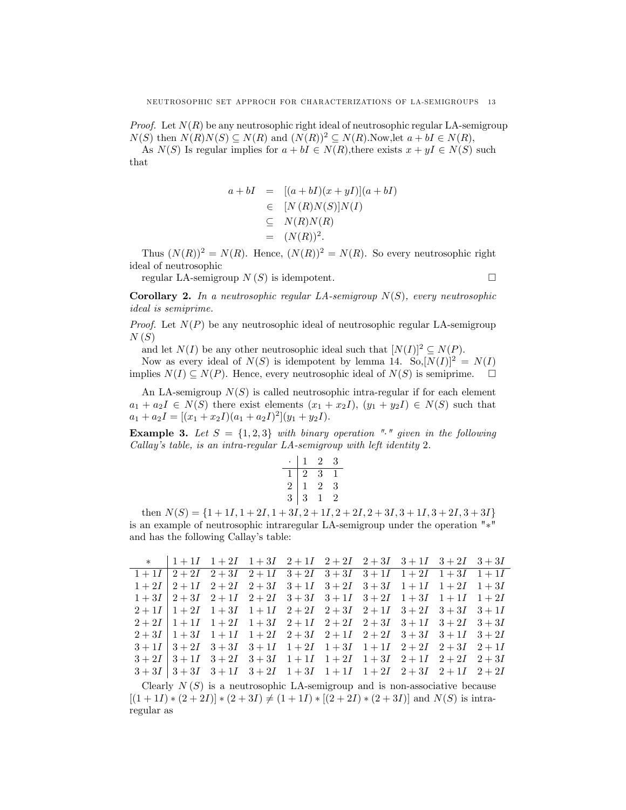*Proof.* Let  $N(R)$  be any neutrosophic right ideal of neutrosophic regular LA-semigroup  $N(S)$  then  $N(R)N(S) \subseteq N(R)$  and  $(N(R))^2 \subseteq N(R)$ . Now, let  $a + bI \in N(R)$ ,

As  $N(S)$  Is regular implies for  $a + bI \in N(R)$ , there exists  $x + yI \in N(S)$  such that

$$
a + bI = [(a + bI)(x + yI)](a + bI)
$$
  
\n
$$
\in [N (R)N(S)]N(I)
$$
  
\n
$$
\subseteq N(R)N(R)
$$
  
\n
$$
= (N(R))^{2}.
$$

Thus  $(N(R))^2 = N(R)$ . Hence,  $(N(R))^2 = N(R)$ . So every neutrosophic right ideal of neutrosophic

regular LA-semigroup  $N(S)$  is idempotent.

**Corollary 2.** In a neutrosophic regular LA-semigroup  $N(S)$ , every neutrosophic ideal is semiprime.

*Proof.* Let  $N(P)$  be any neutrosophic ideal of neutrosophic regular LA-semigroup  $N(S)$ 

and let  $N(I)$  be any other neutrosophic ideal such that  $[N(I)]^2 \subseteq N(P)$ .

Now as every ideal of  $N(S)$  is idempotent by lemma 14. So, $[N(I)]^2 = N(I)$ implies  $N(I) \subseteq N(P)$ . Hence, every neutrosophic ideal of  $N(S)$  is semiprime.  $\Box$ 

An LA-semigroup  $N(S)$  is called neutrosophic intra-regular if for each element  $a_1 + a_2I \in N(S)$  there exist elements  $(x_1 + x_2I), (y_1 + y_2I) \in N(S)$  such that  $a_1 + a_2 I = [(x_1 + x_2 I)(a_1 + a_2 I)^2](y_1 + y_2 I).$ 

**Example 3.** Let  $S = \{1, 2, 3\}$  with binary operation "." given in the following Callay's table, is an intra-regular LA-semigroup with left identity 2.

|   | I              | 2              | 3 |
|---|----------------|----------------|---|
|   | $\overline{2}$ | 3              | 1 |
| 2 | T              | $\overline{2}$ | 3 |
| 3 | 3              |                | 2 |

then  $N(S) = \{1 + 1I, 1 + 2I, 1 + 3I, 2 + 1I, 2 + 2I, 2 + 3I, 3 + 1I, 3 + 2I, 3 + 3I\}$ is an example of neutrosophic intraregular LA-semigroup under the operation  $"\ast"$ and has the following Callay's table:

|  | * $1+1I$ $1+2I$ $1+3I$ $2+1I$ $2+2I$ $2+3I$ $3+1I$ $3+2I$ $3+3I$                                                                              |  |  |  |
|--|-----------------------------------------------------------------------------------------------------------------------------------------------|--|--|--|
|  | $1+1I$ $2+2I$ $2+3I$ $2+1I$ $3+2I$ $3+3I$ $3+1I$ $1+2I$ $1+3I$ $1+1I$                                                                         |  |  |  |
|  | $1+2I$ $2+1I$ $2+2I$ $2+3I$ $3+1I$ $3+2I$ $3+3I$ $1+1I$ $1+2I$ $1+3I$                                                                         |  |  |  |
|  | $1+3I$ $2+3I$ $2+1I$ $2+2I$ $3+3I$ $3+1I$ $3+2I$ $1+3I$ $1+1I$ $1+2I$                                                                         |  |  |  |
|  | $2+1I$   $1+2I$ $1+3I$ $1+1I$ $2+2I$ $2+3I$ $2+1I$ $3+2I$ $3+3I$ $3+1I$                                                                       |  |  |  |
|  | $2+2I$ 1 + 1 <i>I</i> 1 + 2 <i>I</i> 1 + 3 <i>I</i> 2 + 1 <i>I</i> 2 + 2 <i>I</i> 2 + 3 <i>I</i> 3 + 1 <i>I</i> 3 + 2 <i>I</i> 3 + 3 <i>I</i> |  |  |  |
|  | $2+3I$   $1+3I$ $1+1I$ $1+2I$ $2+3I$ $2+1I$ $2+2I$ $3+3I$ $3+1I$ $3+2I$                                                                       |  |  |  |
|  | $3+1I$ $3+2I$ $3+3I$ $3+1I$ $1+2I$ $1+3I$ $1+1I$ $2+2I$ $2+3I$ $2+1I$                                                                         |  |  |  |
|  | $3+2I$ $3+1I$ $3+2I$ $3+3I$ $1+1I$ $1+2I$ $1+3I$ $2+1I$ $2+2I$ $2+3I$                                                                         |  |  |  |
|  | $3+3I$ $3+3I$ $3+1I$ $3+2I$ $1+3I$ $1+1I$ $1+2I$ $2+3I$ $2+1I$ $2+2I$                                                                         |  |  |  |

Clearly  $N(S)$  is a neutrosophic LA-semigroup and is non-associative because  $[(1+1I)*(2+2I)*(2+3I) \neq (1+1I)*(2+2I)*(2+3I)]$  and  $N(S)$  is intraregular as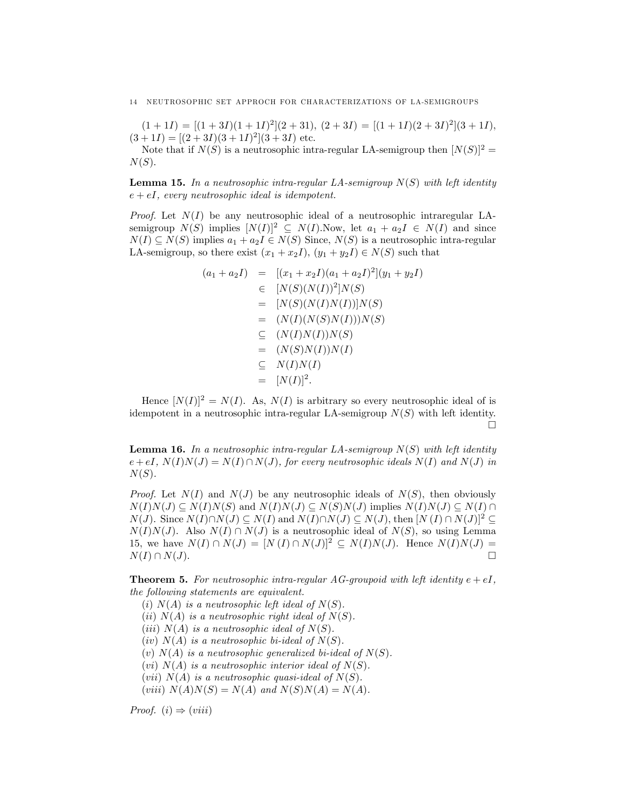$(1+1I) = [(1+3I)(1+1I)^{2}](2+31), (2+3I) = [(1+1I)(2+3I)^{2}](3+1I),$  $(3+1I) = [(2+3I)(3+1I)^{2}](3+3I)$  etc.

Note that if  $N(S)$  is a neutrosophic intra-regular LA-semigroup then  $[N(S)]^2$  =  $N(S)$ .

**Lemma 15.** In a neutrosophic intra-regular LA-semigroup  $N(S)$  with left identity  $e + eI$ , every neutrosophic ideal is idempotent.

*Proof.* Let  $N(I)$  be any neutrosophic ideal of a neutrosophic intraregular LAsemigroup  $N(S)$  implies  $[N(I)]^2 \subseteq N(I)$ . Now, let  $a_1 + a_2I \in N(I)$  and since  $N(I) \subseteq N(S)$  implies  $a_1 + a_2I \in N(S)$  Since,  $N(S)$  is a neutrosophic intra-regular LA-semigroup, so there exist  $(x_1 + x_2I)$ ,  $(y_1 + y_2I) \in N(S)$  such that

$$
(a_1 + a_2I) = [(x_1 + x_2I)(a_1 + a_2I)^2](y_1 + y_2I)
$$
  
\n
$$
\in [N(S)(N(I))^2]N(S)
$$
  
\n
$$
= [N(S)(N(I)N(I))]N(S)
$$
  
\n
$$
= (N(I)(N(S)N(I)))N(S)
$$
  
\n
$$
\subseteq (N(I)N(I))N(S)
$$
  
\n
$$
= (N(S)N(I))N(I)
$$
  
\n
$$
\subseteq N(I)N(I)
$$
  
\n
$$
= [N(I)]^2.
$$

Hence  $[N(I)]^2 = N(I)$ . As,  $N(I)$  is arbitrary so every neutrosophic ideal of is idempotent in a neutrosophic intra-regular LA-semigroup  $N(S)$  with left identity. П

**Lemma 16.** In a neutrosophic intra-regular LA-semigroup  $N(S)$  with left identity  $e + eI, N(I)N(J) = N(I) \cap N(J)$ , for every neutrosophic ideals  $N(I)$  and  $N(J)$  in  $N(S)$ .

*Proof.* Let  $N(I)$  and  $N(J)$  be any neutrosophic ideals of  $N(S)$ , then obviously  $N(I)N(J) \subseteq N(I)N(S)$  and  $N(I)N(J) \subseteq N(S)N(J)$  implies  $N(I)N(J) \subseteq N(I) \cap N(I)$  $N(J)$ . Since  $N(I)\cap N(J) \subseteq N(I)$  and  $N(I)\cap N(J) \subseteq N(J)$ , then  $[N (I) \cap N(J)]^2 \subseteq$  $N(I)N(J)$ . Also  $N(I) \cap N(J)$  is a neutrosophic ideal of  $N(S)$ , so using Lemma 15, we have  $N(I) \cap N(J) = [N(I) \cap N(J)]^2 \subseteq N(I)N(J)$ . Hence  $N(I)N(J) = N(I) \cap N(J)$  $N(I) \cap N(J).$ 

**Theorem 5.** For neutrosophic intra-regular AG-groupoid with left identity  $e + eI$ , the following statements are equivalent.

(i)  $N(A)$  is a neutrosophic left ideal of  $N(S)$ .

(ii)  $N(A)$  is a neutrosophic right ideal of  $N(S)$ .

(iii)  $N(A)$  is a neutrosophic ideal of  $N(S)$ .

(iv)  $N(A)$  is a neutrosophic bi-ideal of  $N(S)$ .

(v)  $N(A)$  is a neutrosophic generalized bi-ideal of  $N(S)$ .

(vi)  $N(A)$  is a neutrosophic interior ideal of  $N(S)$ .

(vii)  $N(A)$  is a neutrosophic quasi-ideal of  $N(S)$ .

(viii)  $N(A)N(S) = N(A)$  and  $N(S)N(A) = N(A)$ .

Proof.  $(i) \Rightarrow (viii)$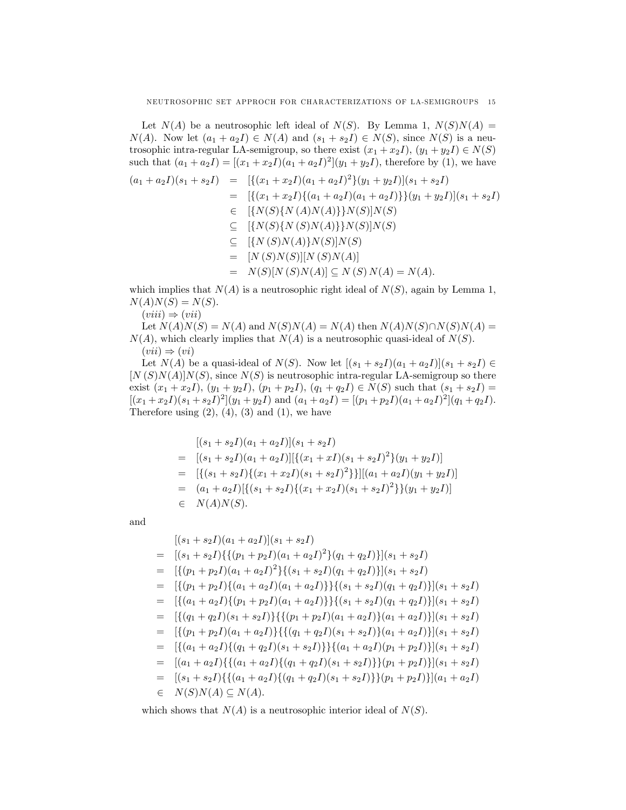Let  $N(A)$  be a neutrosophic left ideal of  $N(S)$ . By Lemma 1,  $N(S)N(A) =$  $N(A)$ . Now let  $(a_1 + a_2I) \in N(A)$  and  $(s_1 + s_2I) \in N(S)$ , since  $N(S)$  is a neutrosophic intra-regular LA-semigroup, so there exist  $(x_1 + x_2I)$ ,  $(y_1 + y_2I) \in N(S)$ such that  $(a_1 + a_2 I) = [(x_1 + x_2 I)(a_1 + a_2 I)^2](y_1 + y_2 I)$ , therefore by (1), we have

$$
(a_1 + a_2I)(s_1 + s_2I) = [{(x_1 + x_2I)(a_1 + a_2I)^2}(y_1 + y_2I)](s_1 + s_2I)
$$
  
\n
$$
= [{(x_1 + x_2I)\{(a_1 + a_2I)(a_1 + a_2I)\}(y_1 + y_2I)](s_1 + s_2I)}
$$
  
\n
$$
\in [{N(S)\{N(A)N(A)\}\}N(S)]N(S)
$$
  
\n
$$
\subseteq [{N(S)N(S)N(A)}]N(S)]N(S)
$$
  
\n
$$
\subseteq [{N(S)N(A)}N(S)]N(S)
$$
  
\n
$$
= [N(S)N(S)][N(S)N(A)]
$$
  
\n
$$
= N(S)[N(S)N(A)] \subseteq N(S)N(A) = N(A).
$$

which implies that  $N(A)$  is a neutrosophic right ideal of  $N(S)$ , again by Lemma 1,  $N(A)N(S) = N(S).$ 

 $(viii) \Rightarrow (vii)$ 

Let  $N(A)N(S) = N(A)$  and  $N(S)N(A) = N(A)$  then  $N(A)N(S)\cap N(S)N(A) =$  $N(A)$ , which clearly implies that  $N(A)$  is a neutrosophic quasi-ideal of  $N(S)$ .  $(vii) \Rightarrow (vi)$ 

Let  $N(A)$  be a quasi-ideal of  $N(S)$ . Now let  $[(s_1 + s_2I)(a_1 + a_2I)](s_1 + s_2I) \in$  $[N(S)N(A)]N(S)$ , since  $N(S)$  is neutrosophic intra-regular LA-semigroup so there exist  $(x_1 + x_2I)$ ,  $(y_1 + y_2I)$ ,  $(p_1 + p_2I)$ ,  $(q_1 + q_2I) \in N(S)$  such that  $(s_1 + s_2I)$  =  $[(x_1+x_2I)(s_1+s_2I)^2](y_1+y_2I)$  and  $(a_1+a_2I) = [(p_1+p_2I)(a_1+a_2I)^2](q_1+q_2I).$ Therefore using  $(2)$ ,  $(4)$ ,  $(3)$  and  $(1)$ , we have

$$
[(s_1 + s_2I)(a_1 + a_2I)](s_1 + s_2I)
$$
  
= 
$$
[(s_1 + s_2I)(a_1 + a_2I)][\{(x_1 + xI)(s_1 + s_2I)^2\}(y_1 + y_2I)]
$$
  
= 
$$
[\{(s_1 + s_2I)\{(x_1 + x_2I)(s_1 + s_2I)^2\}][(a_1 + a_2I)(y_1 + y_2I)]
$$
  
= 
$$
(a_1 + a_2I)[\{(s_1 + s_2I)\{(x_1 + x_2I)(s_1 + s_2I)^2\}\}(y_1 + y_2I)]
$$
  

$$
\in N(A)N(S).
$$

and

$$
[(s_1 + s_2I)(a_1 + a_2I)](s_1 + s_2I)
$$
  
\n
$$
= [(s_1 + s_2I)\{\{(p_1 + p_2I)(a_1 + a_2I)^2\}(q_1 + q_2I)\}](s_1 + s_2I)
$$
  
\n
$$
= [\{(p_1 + p_2I)(a_1 + a_2I)^2\}\{(s_1 + s_2I)(q_1 + q_2I)\}](s_1 + s_2I)
$$
  
\n
$$
= [\{(p_1 + p_2I)\{(a_1 + a_2I)(a_1 + a_2I)\}\}\{(s_1 + s_2I)(q_1 + q_2I)\}](s_1 + s_2I)
$$
  
\n
$$
= [\{(a_1 + a_2I)\{(p_1 + p_2I)(a_1 + a_2I)\}\}\{(s_1 + s_2I)(q_1 + q_2I)\}](s_1 + s_2I)
$$
  
\n
$$
= [\{(q_1 + q_2I)(s_1 + s_2I)\}\{\{(p_1 + p_2I)(a_1 + a_2I)\}(a_1 + a_2I)\}](s_1 + s_2I)
$$
  
\n
$$
= [\{(p_1 + p_2I)(a_1 + a_2I)\}\{\{(q_1 + q_2I)(s_1 + s_2I)\}(a_1 + a_2I)\}](s_1 + s_2I)
$$
  
\n
$$
= [\{(a_1 + a_2I)\{\{(q_1 + q_2I)(s_1 + s_2I)\}\}\{(a_1 + a_2I)(p_1 + p_2I)\}](s_1 + s_2I)
$$
  
\n
$$
= [(a_1 + a_2I)\{\{(a_1 + a_2I)\{(q_1 + q_2I)(s_1 + s_2I)\}\}(p_1 + p_2I)\}](s_1 + s_2I)
$$
  
\n
$$
= [(s_1 + s_2I)\{\{(a_1 + a_2I)\{(q_1 + q_2I)(s_1 + s_2I)\}\}(p_1 + p_2I)\}](s_1 + a_2I)
$$
  
\n
$$
\in N(S)N(A) \subseteq N(A).
$$

which shows that  $N(A)$  is a neutrosophic interior ideal of  $N(S)$ .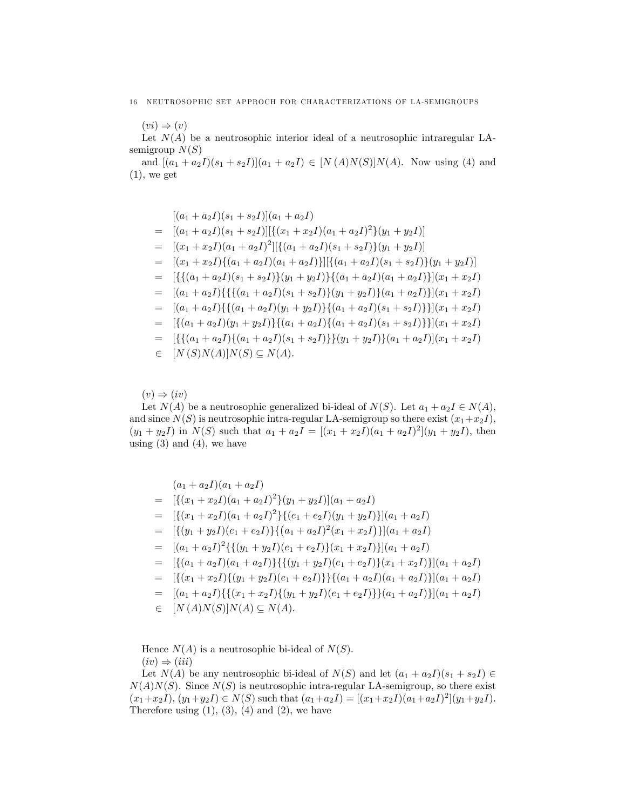#### 16 NEUTROSOPHIC SET APPROCH FOR CHARACTERIZATIONS OF LA-SEMIGROUPS

 $(vi) \Rightarrow (v)$ Let  $N(A)$  be a neutrosophic interior ideal of a neutrosophic intraregular LAsemigroup  $N(S)$ 

and  $[(a_1 + a_2I)(s_1 + s_2I)](a_1 + a_2I) \in [N(A)N(S)]N(A)$ . Now using (4) and  $(1)$ , we get

$$
[(a_1 + a_2I)(s_1 + s_2I)](a_1 + a_2I)
$$
  
\n
$$
= [(a_1 + a_2I)(s_1 + s_2I)][\{(x_1 + x_2I)(a_1 + a_2I)^2\}(y_1 + y_2I)]
$$
  
\n
$$
= [(x_1 + x_2I)(a_1 + a_2I)^2][\{(a_1 + a_2I)(s_1 + s_2I)\}(y_1 + y_2I)]
$$
  
\n
$$
= [(x_1 + x_2I)\{(a_1 + a_2I)(a_1 + a_2I)\}][\{(a_1 + a_2I)(s_1 + s_2I)\}(y_1 + y_2I)]
$$
  
\n
$$
= [\{\{(a_1 + a_2I)(s_1 + s_2I)\}(y_1 + y_2I)\}(a_1 + a_2I)(a_1 + a_2I)\}](x_1 + x_2I)
$$
  
\n
$$
= [(a_1 + a_2I)\{\{(a_1 + a_2I)(s_1 + s_2I)\}(y_1 + y_2I)\}(a_1 + a_2I)\}](x_1 + x_2I)
$$
  
\n
$$
= [(a_1 + a_2I)\{\{(a_1 + a_2I)(y_1 + y_2I)\}(a_1 + a_2I)(s_1 + s_2I)\}](x_1 + x_2I)
$$
  
\n
$$
= [\{(a_1 + a_2I)(y_1 + y_2I)\}(a_1 + a_2I)(s_1 + s_2I)\}](x_1 + x_2I)
$$
  
\n
$$
= [\{\{(a_1 + a_2I)\{(a_1 + a_2I)(s_1 + s_2I)\}(y_1 + y_2I)\}(a_1 + a_2I)(s_1 + s_2I)]](x_1 + x_2I)
$$
  
\n
$$
\in [N(S)N(A)]N(S) \subseteq N(A).
$$

 $(v) \Rightarrow (iv)$ 

Let  $N(A)$  be a neutrosophic generalized bi-ideal of  $N(S)$ . Let  $a_1 + a_2 I \in N(A)$ , and since  $N(S)$  is neutrosophic intra-regular LA-semigroup so there exist  $(x_1+x_2I)$ ,  $(y_1 + y_2 I)$  in  $N(S)$  such that  $a_1 + a_2 I = [(x_1 + x_2 I)(a_1 + a_2 I)^2](y_1 + y_2 I)$ , then using  $(3)$  and  $(4)$ , we have

$$
(a_1 + a_2I)(a_1 + a_2I)
$$
  
= 
$$
[\{(x_1 + x_2I)(a_1 + a_2I)^2\}(y_1 + y_2I)](a_1 + a_2I)
$$
  
= 
$$
[\{(x_1 + x_2I)(a_1 + a_2I)^2\}\{(e_1 + e_2I)(y_1 + y_2I)\}](a_1 + a_2I)
$$
  
= 
$$
[\{(y_1 + y_2I)(e_1 + e_2I)\}\{(a_1 + a_2I)^2(x_1 + x_2I)\}](a_1 + a_2I)
$$
  
= 
$$
[(a_1 + a_2I)^2\{\{(y_1 + y_2I)(e_1 + e_2I)\}(x_1 + x_2I)\}](a_1 + a_2I)
$$
  
= 
$$
[\{(a_1 + a_2I)(a_1 + a_2I)\}\{\{(y_1 + y_2I)(e_1 + e_2I)\}(x_1 + x_2I)\}](a_1 + a_2I)
$$
  
= 
$$
[\{(x_1 + x_2I)\{(y_1 + y_2I)(e_1 + e_2I)\}\}\{(a_1 + a_2I)(a_1 + a_2I)\}](a_1 + a_2I)
$$
  
= 
$$
[(a_1 + a_2I)\{\{(x_1 + x_2I)\{(y_1 + y_2I)(e_1 + e_2I)\}\}(a_1 + a_2I)\}](a_1 + a_2I)
$$
  

$$
\in [N(A)N(S)]N(A) \subseteq N(A).
$$

Hence  $N(A)$  is a neutrosophic bi-ideal of  $N(S)$ .  $(iv) \Rightarrow (iii)$ 

Let  $N(A)$  be any neutrosophic bi-ideal of  $N(S)$  and let  $(a_1 + a_2I)(s_1 + s_2I) \in$  $N(A)N(S)$ . Since  $N(S)$  is neutrosophic intra-regular LA-semigroup, so there exist  $(x_1+x_2I), (y_1+y_2I) \in N(S)$  such that  $(a_1+a_2I) = [(x_1+x_2I)(a_1+a_2I)^2](y_1+y_2I).$ Therefore using  $(1)$ ,  $(3)$ ,  $(4)$  and  $(2)$ , we have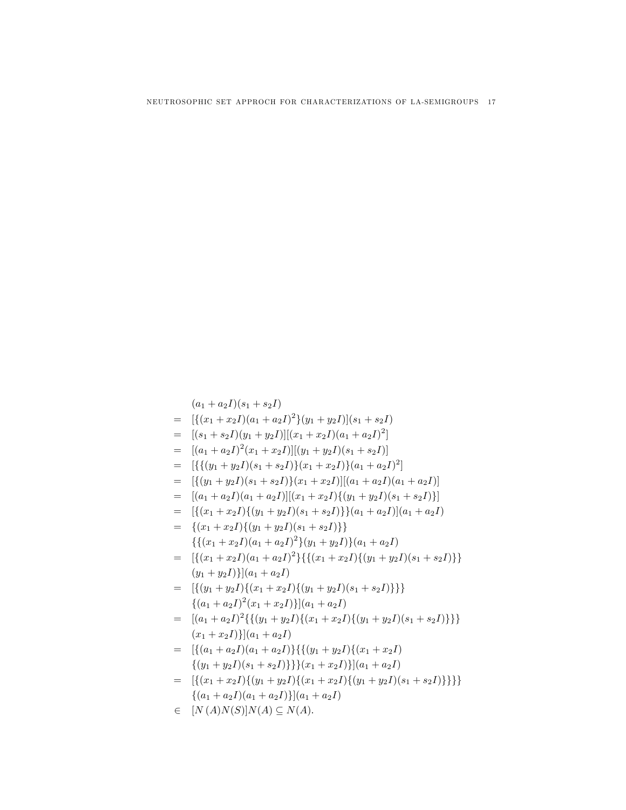=  $[\{(x_1+x_2I)(a_1+a_2I)^2\}(y_1+y_2I)](s_1+s_2I)$ =  $[(s_1 + s_2I)(y_1 + y_2I)][(x_1 + x_2I)(a_1 + a_2I)^2]$ =  $[(a_1 + a_2I)^2(x_1 + x_2I)][(y_1 + y_2I)(s_1 + s_2I)]$ =  $[\{\{(y_1+y_2I)(s_1+s_2I)\}(x_1+x_2I)\}(a_1+a_2I)^2]$  $=$   $[\{(y_1+y_2I)(s_1+s_2I)\}(x_1+x_2I)][(a_1+a_2I)(a_1+a_2I)]$  $=$   $[(a_1 + a_2I)(a_1 + a_2I)][(x_1 + x_2I)\{(y_1 + y_2I)(s_1 + s_2I)\}]$ =  $[\{(x_1+x_2I)\{(y_1+y_2I)(s_1+s_2I)\}(a_1+a_2I)](a_1+a_2I)$  $= \{(x_1+x_2I)\{(y_1+y_2I)(s_1+s_2I)\}\}\$  $\{ \{ (x_1 + x_2I)(a_1 + a_2I)^2 \} (y_1 + y_2I) \} (a_1 + a_2I)$ =  $[{(x_1+x_2I)(a_1+a_2I)^2}\{(x_1+x_2I)\{(y_1+y_2I)(s_1+s_2I)\}\}\$  $(y_1 + y_2I)$ ] $(a_1 + a_2I)$ =  $[{(y_1+y_2I)\{(x_1+x_2I)\{(y_1+y_2I)(s_1+s_2I)\}\}}$  $\{(a_1 + a_2I)^2(x_1 + x_2I)\}\big(a_1 + a_2I\big)$ =  $[(a_1 + a_2I)^2 \{\{(y_1 + y_2I)\{(x_1 + x_2I)\{(y_1 + y_2I)(s_1 + s_2I)\}\}\}\$  $(x_1 + x_2I)$ ] $(a_1 + a_2I)$  $= \left[ \{(a_1 + a_2I)(a_1 + a_2I)\}\right] \{(y_1 + y_2I)\{(x_1 + x_2I)\}$  $\{(y_1+y_2I)(s_1+s_2I)\}\}(x_1+x_2I)\{(a_1+a_2I)$ =  $[{(x_1 + x_2I) \{(y_1 + y_2I) \{(x_1 + x_2I) \{(y_1 + y_2I)(s_1 + s_2I)\}\}\}}$  $\{(a_1 + a_2I)(a_1 + a_2I)\}\big|(a_1 + a_2I)\big|$  $\in$   $[N(A)N(S)]N(A) \subset N(A)$ .

 $(a_1 + a_2I)(s_1 + s_2I)$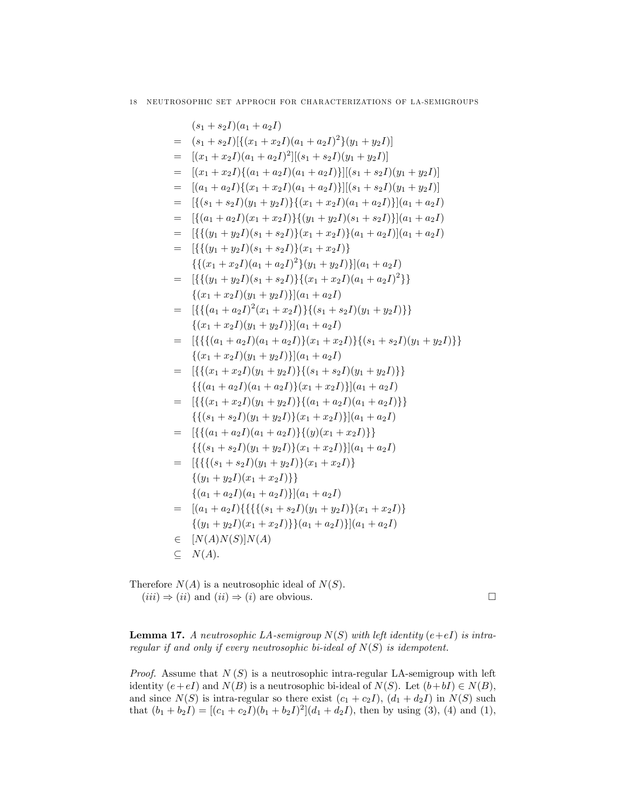$$
(s_1 + s_2I)(a_1 + a_2I)
$$
  
\n
$$
= (s_1 + s_2I)[\{(x_1 + x_2I)(a_1 + a_2I)^2\}(y_1 + y_2I)]
$$
  
\n
$$
= [(x_1 + x_2I)(a_1 + a_2I)^2][(s_1 + s_2I)(y_1 + y_2I)]
$$
  
\n
$$
= [(x_1 + x_2I)\{(a_1 + a_2I)(a_1 + a_2I)\}][(s_1 + s_2I)(y_1 + y_2I)]
$$
  
\n
$$
= [(a_1 + a_2I)\{(x_1 + x_2I)(a_1 + a_2I)\}][(s_1 + s_2I)(y_1 + y_2I)]
$$
  
\n
$$
= [(\{a_1 + a_2I\})(y_1 + y_2I)\} \{(x_1 + x_2I)(a_1 + a_2I)\}[(a_1 + a_2I)
$$
  
\n
$$
= [(\{a_1 + a_2I\})(x_1 + x_2I)\} \{(y_1 + y_2I)(s_1 + s_2I)\}[(a_1 + a_2I)
$$
  
\n
$$
= [(\{y_1 + y_2I)(s_1 + s_2I\}) \{x_1 + x_2I\}](a_1 + a_2I)]
$$
  
\n
$$
= [(\{y_1 + y_2I)(s_1 + s_2I\}) \{x_1 + x_2I\}](a_1 + a_2I)
$$
  
\n
$$
= [(\{y_1 + y_2I)(s_1 + s_2I\}) \{x_1 + x_2I\}](a_1 + a_2I)
$$
  
\n
$$
= [(\{y_1 + y_2I)(s_1 + s_2I\}) \{x_1 + x_2I\}[(a_1 + a_2I)^2\}
$$
  
\n
$$
= [(\{a_1 + a_2I)^2(x_1 + x_2I\}) \{a_1 + a_2I\}
$$
  
\n
$$
= [(\{a_1 + a_2I)^2(x_1 + x_2I\}) \{a_1 + a_2I\}
$$
  
\n
$$
= [(\{a_1 + a_2I)(y_1 + y_2I\}) \{a_1 + a_2I\}
$$
  
\n<math display="block</math>

Therefore  $N(A)$  is a neutrosophic ideal of  $N(S)$ .  $(iii) \Rightarrow (ii)$  and  $(ii) \Rightarrow (i)$  are obvious.

**Lemma 17.** A neutrosophic LA-semigroup  $N(S)$  with left identity  $(e+eI)$  is intraregular if and only if every neutrosophic bi-ideal of  $N(S)$  is idempotent.

*Proof.* Assume that  $N(S)$  is a neutrosophic intra-regular LA-semigroup with left identity  $(e+eI)$  and  $N(B)$  is a neutrosophic bi-ideal of  $N(S)$ . Let  $(b+bI) \in N(B)$ , and since  $N(S)$  is intra-regular so there exist  $(c_1 + c_2I)$ ,  $(d_1 + d_2I)$  in  $N(S)$  such that  $(b_1 + b_2 I) = [(c_1 + c_2 I)(b_1 + b_2 I)^2](d_1 + d_2 I)$ , then by using (3), (4) and (1),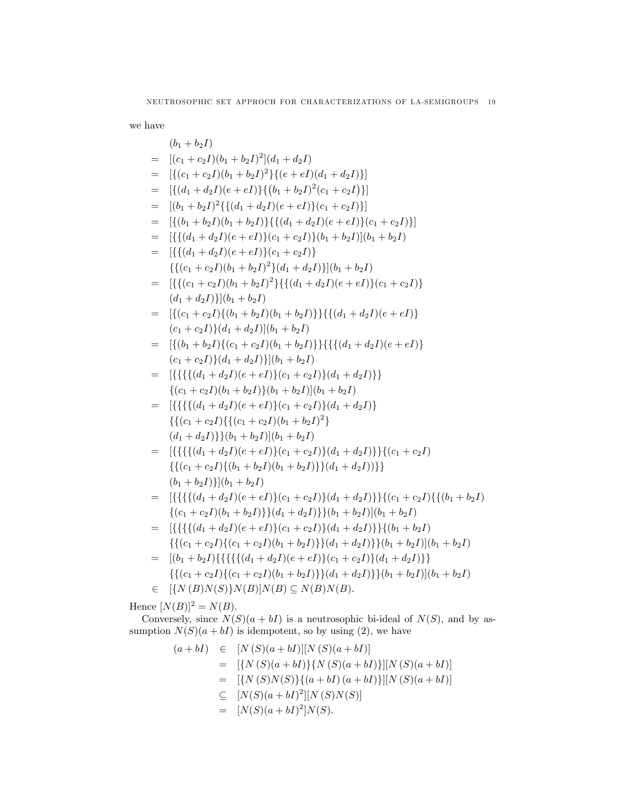we have

$$
b_1 + b_2I
$$
\n
$$
= [(c_1 + c_2I)(b_1 + b_2I)^2](d_1 + d_2I)
$$
\n
$$
= [ \{(c_1 + c_2I)(b_1 + b_2I)^2\} \{(e + eI)(d_1 + d_2I)\}]
$$
\n
$$
= [ \{(d_1 + d_2I)(e + eI)\} \{(b_1 + b_2I)^2(c_1 + c_2I)\}]
$$
\n
$$
= [(b_1 + b_2I)^2 \{ \{(d_1 + d_2I)(e + eI)\}(c_1 + c_2I)\}]
$$
\n
$$
= [ \{(b_1 + b_2I)(b_1 + b_2I)\} \{(d_1 + d_2I)(e + eI)\}(c_1 + c_2I)\}]
$$
\n
$$
= [ \{(d_1 + d_2I)(e + eI)\}(c_1 + c_2I)\} (b_1 + b_2I) ] (b_1 + b_2I)
$$
\n
$$
= [ \{(d_1 + d_2I)(e + eI)\}(c_1 + c_2I)\}]
$$
\n
$$
= [ \{(d_1 + d_2I)(e + eI)\}(c_1 + c_2I)\}
$$
\n
$$
= [ \{(f_1 + c_2I)(b_1 + b_2I)^2\} \{(d_1 + d_2I)(e + eI)\}(c_1 + c_2I)\}
$$
\n
$$
= [ \{(c_1 + c_2I)(b_1 + b_2I)^2\} \{(d_1 + d_2I)(e + eI)\}(c_1 + c_2I)\}
$$
\n
$$
= [ \{(c_1 + c_2I)\}(d_1 + d_2I) ||(b_1 + b_2I)
$$
\n
$$
= [ \{(b_1 + b_2I)\}(c_1 + c_2I) (b_1 + b_2I) \}
$$
\n
$$
= [ \{(b_1 + b_2I)\}(c_1 + c_2I) (b_1 + b_2I) \}
$$
\n
$$
= [ \{(b_1 + b_2I)(c_1 + c_2I)\} \{(d_1 + d_2I)(e + eI)\}
$$
\n
$$
= [ \{(f_1 + b_2I)(e + eI)\}(c_1 + c_2I) \}
$$
\n
$$
= [ \{(f_1 + d_
$$

Hence  $[N(B)]^2 = N(B)$ .

Conversely, since  $N(S)(a + bI)$  is a neutrosophic bi-ideal of  $N(S)$ , and by assumption  $N(S)(a + bI)$  is idempotent, so by using (2), we have

$$
(a+bI) \in [N(S)(a+bI)][N(S)(a+bI)]
$$
  
\n
$$
= [{N(S)(a+bI)}{N(S)(a+bI)}][N(S)(a+bI)]
$$
  
\n
$$
= [{N(S)N(S)}{(a+bI)(a+bI)}][N(S)(a+bI)]
$$
  
\n
$$
\subseteq [N(S)(a+bI)^{2}][N(S)N(S)]
$$
  
\n
$$
= [N(S)(a+bI)^{2}]N(S).
$$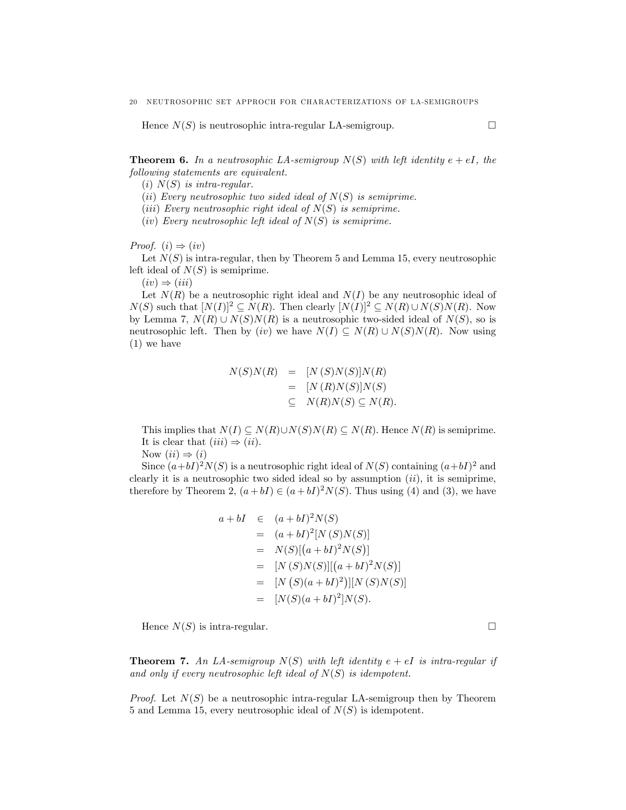Hence  $N(S)$  is neutrosophic intra-regular LA-semigroup.

**Theorem 6.** In a neutrosophic LA-semigroup  $N(S)$  with left identity  $e + eI$ , the following statements are equivalent.

(i)  $N(S)$  is intra-regular.

(ii) Every neutrosophic two sided ideal of  $N(S)$  is semiprime.

(*iii*) Every neutrosophic right ideal of  $N(S)$  is semiprime.

(iv) Every neutrosophic left ideal of  $N(S)$  is semiprime.

*Proof.*  $(i) \Rightarrow (iv)$ 

Let  $N(S)$  is intra-regular, then by Theorem 5 and Lemma 15, every neutrosophic left ideal of  $N(S)$  is semiprime.

 $(iv) \Rightarrow (iii)$ 

Let  $N(R)$  be a neutrosophic right ideal and  $N(I)$  be any neutrosophic ideal of  $N(S)$  such that  $[N(I)]^2 \subseteq N(R)$ . Then clearly  $[N(I)]^2 \subseteq N(R) \cup N(S)N(R)$ . Now by Lemma 7,  $N(R) \cup N(S)N(R)$  is a neutrosophic two-sided ideal of  $N(S)$ , so is neutrosophic left. Then by (iv) we have  $N(I) \subseteq N(R) \cup N(S)N(R)$ . Now using (1) we have

$$
N(S)N(R) = [N(S)N(S)]N(R)
$$
  
= [N(R)N(S)]N(S)  

$$
\subseteq N(R)N(S) \subseteq N(R).
$$

This implies that  $N(I) \subseteq N(R) \cup N(S)N(R) \subseteq N(R)$ . Hence  $N(R)$  is semiprime. It is clear that  $(iii) \Rightarrow (ii)$ .

Now  $(ii) \Rightarrow (i)$ 

Since  $(a+bI)^2N(S)$  is a neutrosophic right ideal of  $N(S)$  containing  $(a+bI)^2$  and clearly it is a neutrosophic two sided ideal so by assumption  $(ii)$ , it is semiprime, therefore by Theorem 2,  $(a + bI) \in (a + bI)^2 N(S)$ . Thus using (4) and (3), we have

$$
a + bI \in (a + bI)^2 N(S)
$$
  
=  $(a + bI)^2 [N(S)N(S)]$   
=  $N(S)[(a + bI)^2 N(S)]$   
=  $[N(S)N(S)][(a + bI)^2 N(S)]$   
=  $[N(S)(a + bI)^2)][N(S)N(S)]$   
=  $[N(S)(a + bI)^2]N(S).$ 

Hence  $N(S)$  is intra-regular.

**Theorem 7.** An LA-semigroup  $N(S)$  with left identity  $e + eI$  is intra-regular if and only if every neutrosophic left ideal of  $N(S)$  is idempotent.

*Proof.* Let  $N(S)$  be a neutrosophic intra-regular LA-semigroup then by Theorem 5 and Lemma 15, every neutrosophic ideal of  $N(S)$  is idempotent.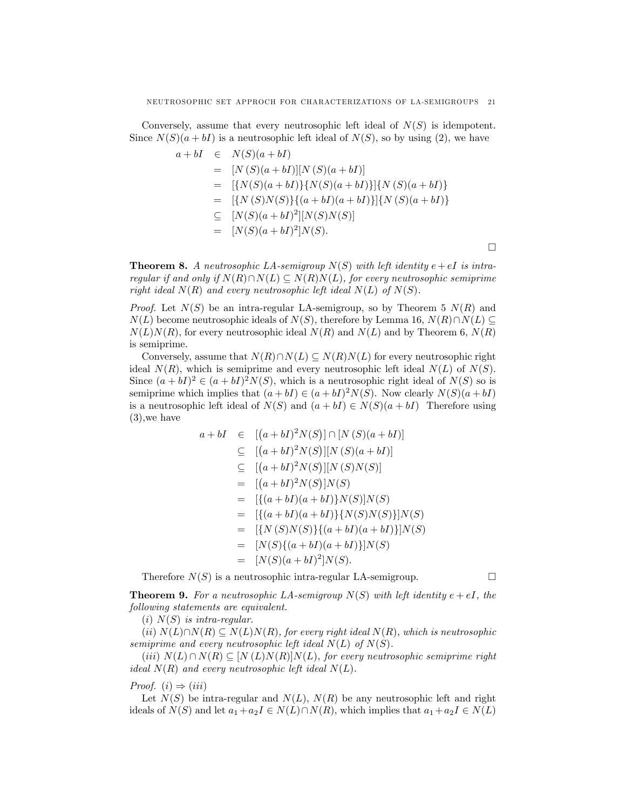Conversely, assume that every neutrosophic left ideal of  $N(S)$  is idempotent. Since  $N(S)(a + bI)$  is a neutrosophic left ideal of  $N(S)$ , so by using (2), we have

$$
a + bI \in N(S)(a + bI)
$$
  
= [N(S)(a + bI)][N(S)(a + bI)]  
= [{N(S)(a + bI)}{N(S)(a + bI)}{N(S)(a + bI)}  
= [{N(S)N(S)}{(a + bI)(a + bI)}]{N(S)(a + bI)}  

$$
\subseteq [N(S)(a + bI)^{2}][N(S)N(S)]
$$
  
= [N(S)(a + bI)^{2}]N(S).

**Theorem 8.** A neutrosophic LA-semigroup  $N(S)$  with left identity  $e+eI$  is intraregular if and only if  $N(R)\cap N(L) \subseteq N(R)N(L)$ , for every neutrosophic semiprime right ideal  $N(R)$  and every neutrosophic left ideal  $N(L)$  of  $N(S)$ .

*Proof.* Let  $N(S)$  be an intra-regular LA-semigroup, so by Theorem 5  $N(R)$  and  $N(L)$  become neutrosophic ideals of  $N(S)$ , therefore by Lemma 16,  $N(R)\cap N(L) \subseteq$  $N(L)N(R)$ , for every neutrosophic ideal  $N(R)$  and  $N(L)$  and by Theorem 6,  $N(R)$ is semiprime.

Conversely, assume that  $N(R) \cap N(L) \subseteq N(R)N(L)$  for every neutrosophic right ideal  $N(R)$ , which is semiprime and every neutrosophic left ideal  $N(L)$  of  $N(S)$ . Since  $(a + bI)^2 \in (a + bI)^2 N(S)$ , which is a neutrosophic right ideal of  $N(S)$  so is semiprime which implies that  $(a + bI) \in (a + bI)^2 N(S)$ . Now clearly  $N(S)(a + bI)$ is a neutrosophic left ideal of  $N(S)$  and  $(a + bI) \in N(S)(a + bI)$  Therefore using (3),we have

$$
a + bI \in [(a + bI)^2 N(S)] \cap [N(S)(a + bI)]
$$
  
\n
$$
\subseteq [(a + bI)^2 N(S)][N(S)(a + bI)]
$$
  
\n
$$
\subseteq [(a + bI)^2 N(S)][N(S)N(S)]
$$
  
\n
$$
= [(a + bI)^2 N(S)]N(S)
$$
  
\n
$$
= [{(a + bI)(a + bI)}N(S)]N(S)
$$
  
\n
$$
= [{(a + bI)(a + bI)}{N(S)N(S)}]N(S)
$$
  
\n
$$
= [{N(S)N(S)}{(a + bI)(a + bI)}]N(S)
$$
  
\n
$$
= [N(S){(a + bI)(a + bI)}]N(S)
$$
  
\n
$$
= [N(S)(a + bI)^2]N(S).
$$

Therefore  $N(S)$  is a neutrosophic intra-regular LA-semigroup.

 $\Box$ 

**Theorem 9.** For a neutrosophic LA-semigroup  $N(S)$  with left identity  $e + eI$ , the following statements are equivalent.

 $(i)$   $N(S)$  is intra-regular.

(ii)  $N(L)\cap N(R) \subseteq N(L)N(R)$ , for every right ideal  $N(R)$ , which is neutrosophic semiprime and every neutrosophic left ideal  $N(L)$  of  $N(S)$ .

(iii)  $N(L) \cap N(R) \subseteq [N(L)N(R)]N(L)$ , for every neutrosophic semiprime right ideal  $N(R)$  and every neutrosophic left ideal  $N(L)$ .

## *Proof.* (*i*)  $\Rightarrow$  (*iii*)

Let  $N(S)$  be intra-regular and  $N(L)$ ,  $N(R)$  be any neutrosophic left and right ideals of  $N(S)$  and let  $a_1 + a_2I \in N(L) \cap N(R)$ , which implies that  $a_1 + a_2I \in N(L)$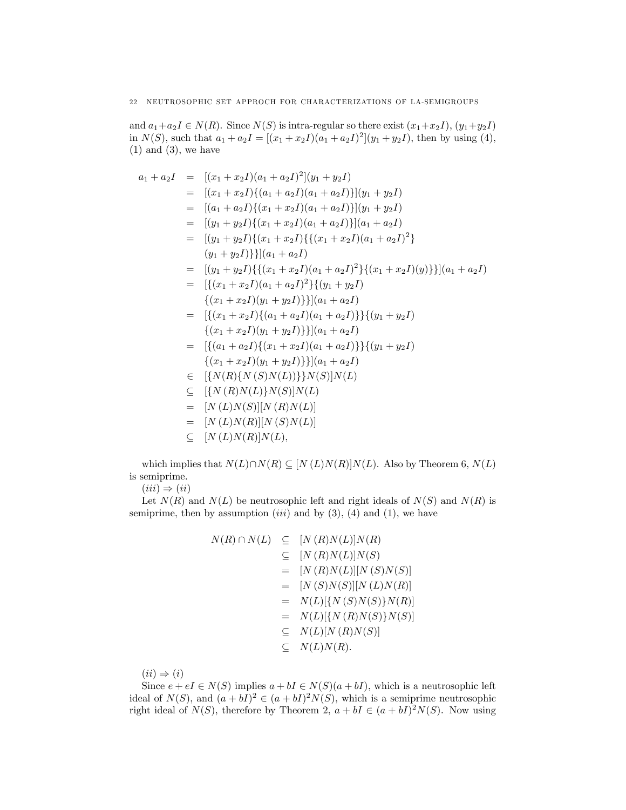and  $a_1+a_2I \in N(R)$ . Since  $N(S)$  is intra-regular so there exist  $(x_1+x_2I), (y_1+y_2I)$ in  $N(S)$ , such that  $a_1 + a_2I = [(x_1 + x_2I)(a_1 + a_2I)^2](y_1 + y_2I)$ , then by using (4),  $(1)$  and  $(3)$ , we have

$$
a_1 + a_2I = [(x_1 + x_2I)(a_1 + a_2I)^2](y_1 + y_2I)
$$
  
\n
$$
= [(x_1 + x_2I)\{(a_1 + a_2I)(a_1 + a_2I)\}](y_1 + y_2I)
$$
  
\n
$$
= [(a_1 + a_2I)\{(x_1 + x_2I)(a_1 + a_2I)\}](y_1 + y_2I)
$$
  
\n
$$
= [(y_1 + y_2I)\{(x_1 + x_2I)(a_1 + a_2I)\}](a_1 + a_2I)
$$
  
\n
$$
= [(y_1 + y_2I)\{(x_1 + x_2I)(a_1 + a_2I)^2\} (y_1 + y_2I)\}]|(a_1 + a_2I)
$$
  
\n
$$
= [(y_1 + y_2I)\{\{(x_1 + x_2I)(a_1 + a_2I)^2\}\{(x_1 + x_2I)(y)\}\}](a_1 + a_2I)
$$
  
\n
$$
= [((x_1 + x_2I)(a_1 + a_2I)^2\{(y_1 + y_2I)\}((y_1 + y_2I)\}((y_1 + y_2I))
$$
  
\n
$$
= \{(x_1 + x_2I)(y_1 + y_2I)\}\{(a_1 + a_2I)(a_1 + a_2I)\}((y_1 + y_2I)
$$
  
\n
$$
= \{(x_1 + x_2I)(y_1 + y_2I)\}\{(a_1 + a_2I)(a_1 + a_2I)\}((y_1 + y_2I)
$$
  
\n
$$
= \{(a_1 + a_2I)\{(x_1 + x_2I)(a_1 + a_2I)\}((y_1 + y_2I)\}((y_1 + y_2I))
$$
  
\n
$$
= \{(x_1 + x_2I)(y_1 + y_2I)\}\{(a_1 + a_2I)\}((y_1 + y_2I)\}((y_1 + y_2I))
$$
  
\n
$$
= \{(N(R)\{N(S)N(L)\}\}N(S)|N(L)
$$
  
\n
$$
= [N(L)N(S)|N(L)]
$$
  
\n
$$
= [N(L)N(R)]N(L)
$$
  
\n
$$
= [N(L)N(R)]N(L)
$$

which implies that  $N(L)\cap N(R) \subseteq [N(L)N(R)]N(L)$ . Also by Theorem 6,  $N(L)$ is semiprime.

 $(iii) \Rightarrow (ii)$ 

Let  $N(R)$  and  $N(L)$  be neutrosophic left and right ideals of  $N(S)$  and  $N(R)$  is semiprime, then by assumption  $(iii)$  and by  $(3)$ ,  $(4)$  and  $(1)$ , we have

$$
N(R) \cap N(L) \subseteq [N(R)N(L)]N(R)
$$
  
\n
$$
\subseteq [N(R)N(L)]N(S)
$$
  
\n
$$
= [N(R)N(L)][N(S)N(S)]
$$
  
\n
$$
= [N(S)N(S)][N(L)N(R)]
$$
  
\n
$$
= N(L)[\{N(S)N(S)\}N(R)]
$$
  
\n
$$
= N(L)[\{N(R)N(S)\}N(S)]
$$
  
\n
$$
\subseteq N(L)[N(R)N(S)]
$$
  
\n
$$
\subseteq N(L)N(R).
$$

 $(ii) \Rightarrow (i)$ 

Since  $e + eI \in N(S)$  implies  $a + bI \in N(S)(a + bI)$ , which is a neutrosophic left ideal of  $N(S)$ , and  $(a + bI)^2 \in (a + bI)^2 N(S)$ , which is a semiprime neutrosophic right ideal of  $N(S)$ , therefore by Theorem 2,  $a + bI \in (a + bI)^2 N(S)$ . Now using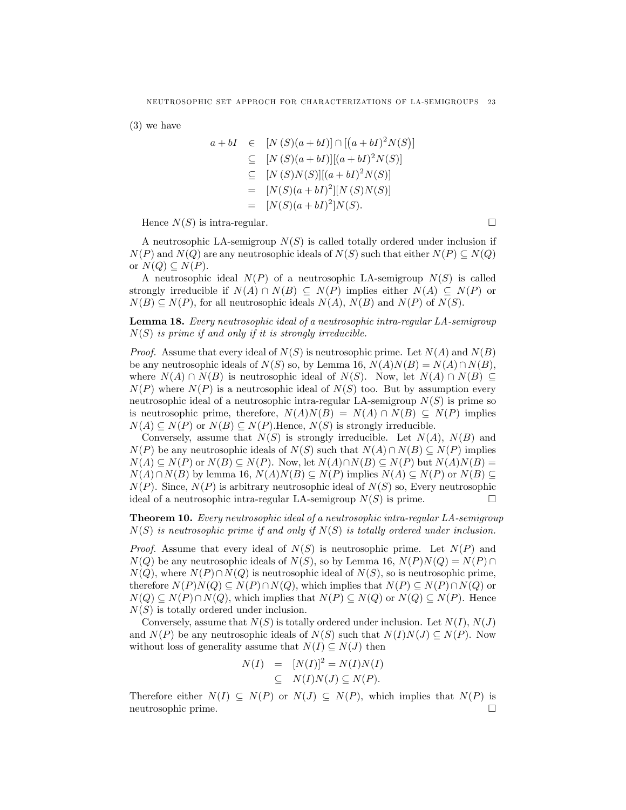(3) we have

$$
a + bI \in [N(S)(a + bI)] \cap [(a + bI)^2 N(S)]
$$
  
\n
$$
\subseteq [N(S)(a + bI)][(a + bI)^2 N(S)]
$$
  
\n
$$
\subseteq [N(S)N(S)][(a + bI)^2 N(S)]
$$
  
\n
$$
= [N(S)(a + bI)^2] [N(S)N(S)]
$$
  
\n
$$
= [N(S)(a + bI)^2] N(S).
$$

Hence  $N(S)$  is intra-regular.

A neutrosophic LA-semigroup  $N(S)$  is called totally ordered under inclusion if  $N(P)$  and  $N(Q)$  are any neutrosophic ideals of  $N(S)$  such that either  $N(P) \subseteq N(Q)$ or  $N(Q) \subseteq N(P)$ .

A neutrosophic ideal  $N(P)$  of a neutrosophic LA-semigroup  $N(S)$  is called strongly irreducible if  $N(A) \cap N(B) \subseteq N(P)$  implies either  $N(A) \subseteq N(P)$  or  $N(B) \subseteq N(P)$ , for all neutrosophic ideals  $N(A)$ ,  $N(B)$  and  $N(P)$  of  $N(S)$ .

Lemma 18. Every neutrosophic ideal of a neutrosophic intra-regular LA-semigroup  $N(S)$  is prime if and only if it is strongly irreducible.

*Proof.* Assume that every ideal of  $N(S)$  is neutrosophic prime. Let  $N(A)$  and  $N(B)$ be any neutrosophic ideals of  $N(S)$  so, by Lemma 16,  $N(A)N(B) = N(A)\cap N(B)$ , where  $N(A) \cap N(B)$  is neutrosophic ideal of  $N(S)$ . Now, let  $N(A) \cap N(B) \subseteq$  $N(P)$  where  $N(P)$  is a neutrosophic ideal of  $N(S)$  too. But by assumption every neutrosophic ideal of a neutrosophic intra-regular LA-semigroup  $N(S)$  is prime so is neutrosophic prime, therefore,  $N(A)N(B) = N(A) \cap N(B) \subset N(P)$  implies  $N(A) \subseteq N(P)$  or  $N(B) \subseteq N(P)$ . Hence,  $N(S)$  is strongly irreducible.

Conversely, assume that  $N(S)$  is strongly irreducible. Let  $N(A)$ ,  $N(B)$  and  $N(P)$  be any neutrosophic ideals of  $N(S)$  such that  $N(A) \cap N(B) \subseteq N(P)$  implies  $N(A) \subseteq N(P)$  or  $N(B) \subseteq N(P)$ . Now, let  $N(A) \cap N(B) \subseteq N(P)$  but  $N(A)N(B) =$  $N(A)\cap N(B)$  by lemma 16,  $N(A)N(B)\subset N(P)$  implies  $N(A)\subset N(P)$  or  $N(B)\subset$  $N(P)$ . Since,  $N(P)$  is arbitrary neutrosophic ideal of  $N(S)$  so, Every neutrosophic ideal of a neutrosophic intra-regular LA-semigroup  $N(S)$  is prime.

Theorem 10. Every neutrosophic ideal of a neutrosophic intra-regular LA-semigroup  $N(S)$  is neutrosophic prime if and only if  $N(S)$  is totally ordered under inclusion.

*Proof.* Assume that every ideal of  $N(S)$  is neutrosophic prime. Let  $N(P)$  and  $N(Q)$  be any neutrosophic ideals of  $N(S)$ , so by Lemma 16,  $N(P)N(Q) = N(P) \cap$  $N(Q)$ , where  $N(P) \cap N(Q)$  is neutrosophic ideal of  $N(S)$ , so is neutrosophic prime, therefore  $N(P)N(Q) \subseteq N(P) \cap N(Q)$ , which implies that  $N(P) \subseteq N(P) \cap N(Q)$  or  $N(Q) \subseteq N(P) \cap N(Q)$ , which implies that  $N(P) \subseteq N(Q)$  or  $N(Q) \subseteq N(P)$ . Hence  $N(S)$  is totally ordered under inclusion.

Conversely, assume that  $N(S)$  is totally ordered under inclusion. Let  $N(I)$ ,  $N(J)$ and  $N(P)$  be any neutrosophic ideals of  $N(S)$  such that  $N(I)N(J) \subseteq N(P)$ . Now without loss of generality assume that  $N(I) \subseteq N(J)$  then

$$
N(I) = [N(I)]^2 = N(I)N(I)
$$
  
\n
$$
\subseteq N(I)N(J) \subseteq N(P).
$$

Therefore either  $N(I) \subseteq N(P)$  or  $N(J) \subseteq N(P)$ , which implies that  $N(P)$  is neutrosophic prime. neutrosophic prime.